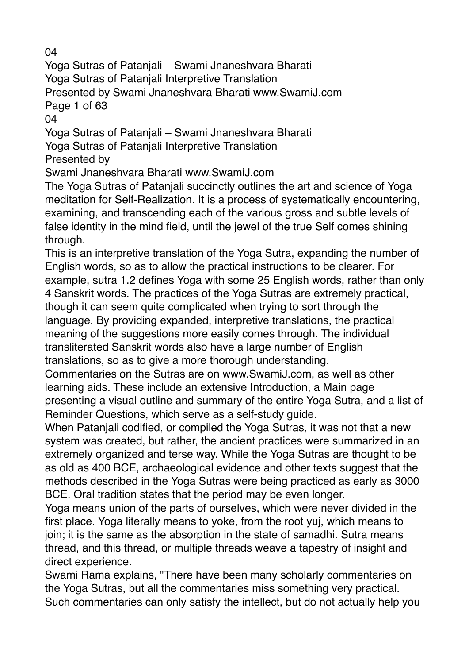04

Yoga Sutras of Patanjali – Swami Jnaneshvara Bharati Yoga Sutras of Patanjali Interpretive Translation Presented by Swami Jnaneshvara Bharati www.SwamiJ.com Page 1 of 63

04

Yoga Sutras of Patanjali – Swami Jnaneshvara Bharati

Yoga Sutras of Patanjali Interpretive Translation

Presented by

Swami Jnaneshvara Bharati www.SwamiJ.com

The Yoga Sutras of Patanjali succinctly outlines the art and science of Yoga meditation for Self-Realization. It is a process of systematically encountering, examining, and transcending each of the various gross and subtle levels of false identity in the mind field, until the jewel of the true Self comes shining through.

This is an interpretive translation of the Yoga Sutra, expanding the number of English words, so as to allow the practical instructions to be clearer. For example, sutra 1.2 defines Yoga with some 25 English words, rather than only 4 Sanskrit words. The practices of the Yoga Sutras are extremely practical, though it can seem quite complicated when trying to sort through the language. By providing expanded, interpretive translations, the practical meaning of the suggestions more easily comes through. The individual transliterated Sanskrit words also have a large number of English translations, so as to give a more thorough understanding.

Commentaries on the Sutras are on www.SwamiJ.com, as well as other learning aids. These include an extensive Introduction, a Main page presenting a visual outline and summary of the entire Yoga Sutra, and a list of Reminder Questions, which serve as a self-study guide.

When Patanjali codified, or compiled the Yoga Sutras, it was not that a new system was created, but rather, the ancient practices were summarized in an extremely organized and terse way. While the Yoga Sutras are thought to be as old as 400 BCE, archaeological evidence and other texts suggest that the methods described in the Yoga Sutras were being practiced as early as 3000 BCE. Oral tradition states that the period may be even longer.

Yoga means union of the parts of ourselves, which were never divided in the first place. Yoga literally means to yoke, from the root yuj, which means to join; it is the same as the absorption in the state of samadhi. Sutra means thread, and this thread, or multiple threads weave a tapestry of insight and direct experience.

Swami Rama explains, "There have been many scholarly commentaries on the Yoga Sutras, but all the commentaries miss something very practical. Such commentaries can only satisfy the intellect, but do not actually help you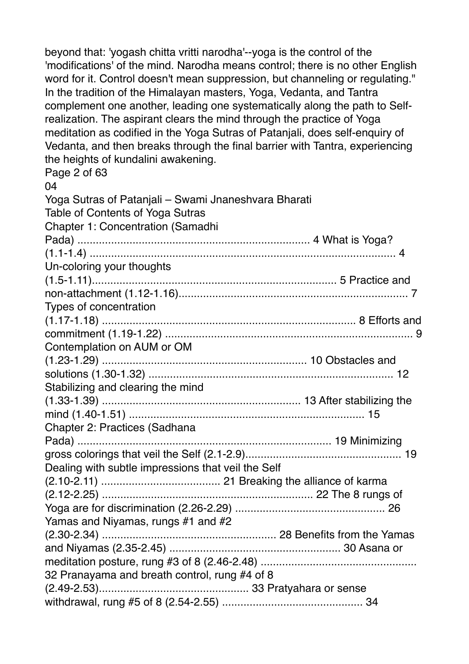beyond that: 'yogash chitta vritti narodha'--yoga is the control of the 'modifications' of the mind. Narodha means control; there is no other English word for it. Control doesn't mean suppression, but channeling or regulating." In the tradition of the Himalayan masters, Yoga, Vedanta, and Tantra complement one another, leading one systematically along the path to Selfrealization. The aspirant clears the mind through the practice of Yoga meditation as codified in the Yoga Sutras of Patanjali, does self-enquiry of Vedanta, and then breaks through the final barrier with Tantra, experiencing the heights of kundalini awakening.

Page 2 of 63

| 04                                                   |  |
|------------------------------------------------------|--|
| Yoga Sutras of Patanjali - Swami Jnaneshvara Bharati |  |
| Table of Contents of Yoga Sutras                     |  |
| <b>Chapter 1: Concentration (Samadhi</b>             |  |
|                                                      |  |
|                                                      |  |
| Un-coloring your thoughts                            |  |
|                                                      |  |
|                                                      |  |
| Types of concentration                               |  |
|                                                      |  |
|                                                      |  |
| Contemplation on AUM or OM                           |  |
|                                                      |  |
|                                                      |  |
| Stabilizing and clearing the mind                    |  |
|                                                      |  |
|                                                      |  |
| <b>Chapter 2: Practices (Sadhana</b>                 |  |
|                                                      |  |
|                                                      |  |
| Dealing with subtle impressions that veil the Self   |  |
|                                                      |  |
|                                                      |  |
| Yamas and Niyamas, rungs #1 and #2                   |  |
|                                                      |  |
|                                                      |  |
|                                                      |  |
| 32 Pranayama and breath control, rung #4 of 8        |  |
|                                                      |  |
|                                                      |  |
|                                                      |  |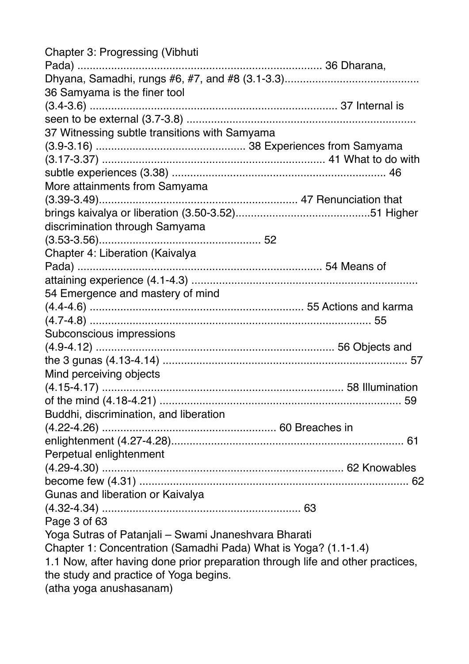| <b>Chapter 3: Progressing (Vibhuti</b>                                         |  |
|--------------------------------------------------------------------------------|--|
|                                                                                |  |
| 36 Samyama is the finer tool                                                   |  |
|                                                                                |  |
|                                                                                |  |
|                                                                                |  |
| 37 Witnessing subtle transitions with Samyama                                  |  |
|                                                                                |  |
|                                                                                |  |
|                                                                                |  |
| More attainments from Samyama                                                  |  |
|                                                                                |  |
|                                                                                |  |
| discrimination through Samyama                                                 |  |
|                                                                                |  |
| Chapter 4: Liberation (Kaivalya                                                |  |
|                                                                                |  |
|                                                                                |  |
| 54 Emergence and mastery of mind                                               |  |
|                                                                                |  |
|                                                                                |  |
| Subconscious impressions                                                       |  |
|                                                                                |  |
|                                                                                |  |
| Mind perceiving objects                                                        |  |
|                                                                                |  |
|                                                                                |  |
| Buddhi, discrimination, and liberation                                         |  |
|                                                                                |  |
|                                                                                |  |
| Perpetual enlightenment                                                        |  |
|                                                                                |  |
|                                                                                |  |
| Gunas and liberation or Kaivalya                                               |  |
|                                                                                |  |
| Page 3 of 63                                                                   |  |
| Yoga Sutras of Patanjali – Swami Jnaneshvara Bharati                           |  |
| Chapter 1: Concentration (Samadhi Pada) What is Yoga? (1.1-1.4)                |  |
| 1.1 Now, after having done prior preparation through life and other practices, |  |
|                                                                                |  |
| the study and practice of Yoga begins.                                         |  |
| (atha yoga anushasanam)                                                        |  |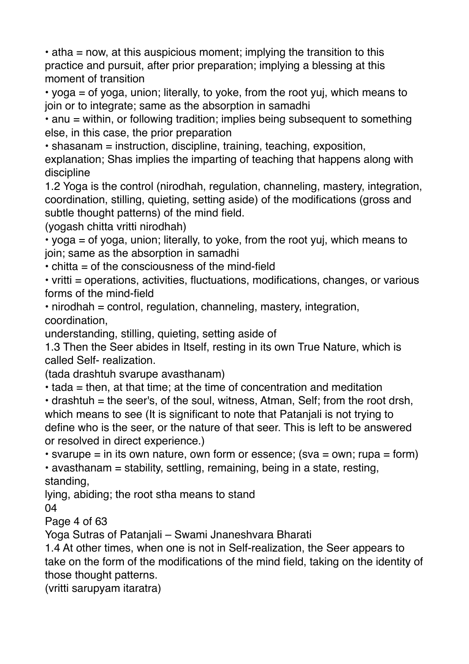$\cdot$  atha = now, at this auspicious moment; implying the transition to this practice and pursuit, after prior preparation; implying a blessing at this moment of transition

• yoga = of yoga, union; literally, to yoke, from the root yuj, which means to join or to integrate; same as the absorption in samadhi

• anu = within, or following tradition; implies being subsequent to something else, in this case, the prior preparation

• shasanam = instruction, discipline, training, teaching, exposition,

explanation; Shas implies the imparting of teaching that happens along with discipline

1.2 Yoga is the control (nirodhah, regulation, channeling, mastery, integration, coordination, stilling, quieting, setting aside) of the modifications (gross and subtle thought patterns) of the mind field.

(yogash chitta vritti nirodhah)

• yoga = of yoga, union; literally, to yoke, from the root yuj, which means to join; same as the absorption in samadhi

 $\cdot$  chitta = of the consciousness of the mind-field

• vritti = operations, activities, fluctuations, modifications, changes, or various forms of the mind-field

• nirodhah = control, regulation, channeling, mastery, integration, coordination,

understanding, stilling, quieting, setting aside of

1.3 Then the Seer abides in Itself, resting in its own True Nature, which is called Self- realization.

(tada drashtuh svarupe avasthanam)

• tada = then, at that time; at the time of concentration and meditation

 $\cdot$  drashtuh = the seer's, of the soul, witness, Atman, Self; from the root drsh, which means to see (It is significant to note that Patanjali is not trying to define who is the seer, or the nature of that seer. This is left to be answered or resolved in direct experience.)

• svarupe  $=$  in its own nature, own form or essence; (sva  $=$  own; rupa  $=$  form)

• avasthanam = stability, settling, remaining, being in a state, resting, standing,

lying, abiding; the root stha means to stand

04

Page 4 of 63

Yoga Sutras of Patanjali – Swami Jnaneshvara Bharati

1.4 At other times, when one is not in Self-realization, the Seer appears to take on the form of the modifications of the mind field, taking on the identity of those thought patterns.

(vritti sarupyam itaratra)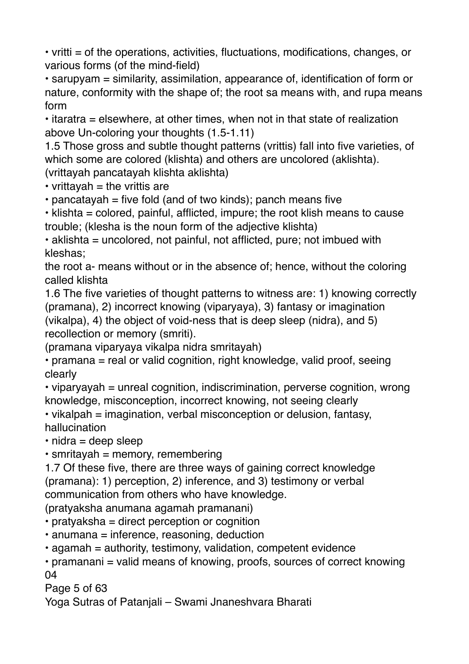• vritti = of the operations, activities, fluctuations, modifications, changes, or various forms (of the mind-field)

• sarupyam = similarity, assimilation, appearance of, identification of form or nature, conformity with the shape of; the root sa means with, and rupa means form

• itaratra = elsewhere, at other times, when not in that state of realization above Un-coloring your thoughts (1.5-1.11)

1.5 Those gross and subtle thought patterns (vrittis) fall into five varieties, of which some are colored (klishta) and others are uncolored (aklishta). (vrittayah pancatayah klishta aklishta)

 $\cdot$  vrittavah = the vrittis are

 $\cdot$  pancatayah = five fold (and of two kinds); panch means five

• klishta = colored, painful, afflicted, impure; the root klish means to cause trouble; (klesha is the noun form of the adjective klishta)

• aklishta = uncolored, not painful, not afflicted, pure; not imbued with kleshas;

the root a- means without or in the absence of; hence, without the coloring called klishta

1.6 The five varieties of thought patterns to witness are: 1) knowing correctly (pramana), 2) incorrect knowing (viparyaya), 3) fantasy or imagination (vikalpa), 4) the object of void-ness that is deep sleep (nidra), and 5) recollection or memory (smriti).

(pramana viparyaya vikalpa nidra smritayah)

• pramana = real or valid cognition, right knowledge, valid proof, seeing clearly

• viparyayah = unreal cognition, indiscrimination, perverse cognition, wrong knowledge, misconception, incorrect knowing, not seeing clearly

• vikalpah = imagination, verbal misconception or delusion, fantasy, hallucination

 $\cdot$  nidra = deep sleep

 $\cdot$  smritayah = memory, remembering

1.7 Of these five, there are three ways of gaining correct knowledge (pramana): 1) perception, 2) inference, and 3) testimony or verbal communication from others who have knowledge.

(pratyaksha anumana agamah pramanani)

• pratyaksha = direct perception or cognition

- anumana = inference, reasoning, deduction
- agamah = authority, testimony, validation, competent evidence

• pramanani = valid means of knowing, proofs, sources of correct knowing 04

Page 5 of 63

Yoga Sutras of Patanjali – Swami Jnaneshvara Bharati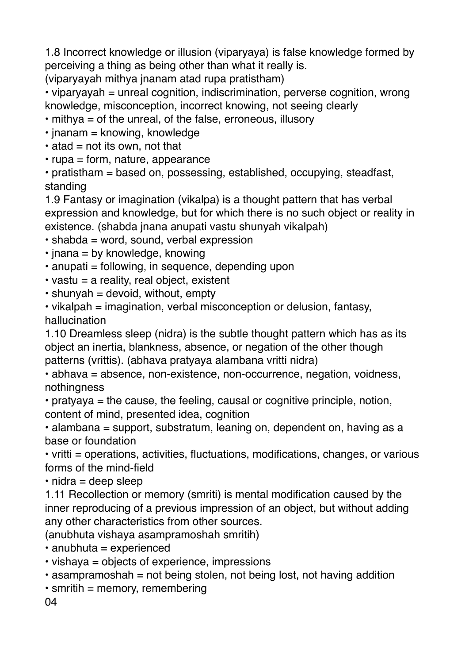1.8 Incorrect knowledge or illusion (viparyaya) is false knowledge formed by perceiving a thing as being other than what it really is.

(viparyayah mithya jnanam atad rupa pratistham)

• viparyayah = unreal cognition, indiscrimination, perverse cognition, wrong knowledge, misconception, incorrect knowing, not seeing clearly

- mithya = of the unreal, of the false, erroneous, illusory
- $\cdot$  jnanam = knowing, knowledge
- $\cdot$  atad = not its own, not that
- rupa = form, nature, appearance

• pratistham = based on, possessing, established, occupying, steadfast, standing

1.9 Fantasy or imagination (vikalpa) is a thought pattern that has verbal expression and knowledge, but for which there is no such object or reality in existence. (shabda jnana anupati vastu shunyah vikalpah)

- shabda = word, sound, verbal expression
- $\cdot$  jnana = by knowledge, knowing
- anupati = following, in sequence, depending upon
- $\cdot$  vastu = a reality, real object, existent
- $\cdot$  shunyah = devoid, without, empty
- vikalpah = imagination, verbal misconception or delusion, fantasy, hallucination

1.10 Dreamless sleep (nidra) is the subtle thought pattern which has as its object an inertia, blankness, absence, or negation of the other though patterns (vrittis). (abhava pratyaya alambana vritti nidra)

• abhava = absence, non-existence, non-occurrence, negation, voidness, nothingness

• pratyaya = the cause, the feeling, causal or cognitive principle, notion, content of mind, presented idea, cognition

• alambana = support, substratum, leaning on, dependent on, having as a base or foundation

• vritti = operations, activities, fluctuations, modifications, changes, or various forms of the mind-field

 $\cdot$  nidra = deep sleep

1.11 Recollection or memory (smriti) is mental modification caused by the inner reproducing of a previous impression of an object, but without adding any other characteristics from other sources.

(anubhuta vishaya asampramoshah smritih)

• anubhuta = experienced

• vishaya = objects of experience, impressions

 $\cdot$  asampramoshah = not being stolen, not being lost, not having addition

 $\cdot$  smritih = memory, remembering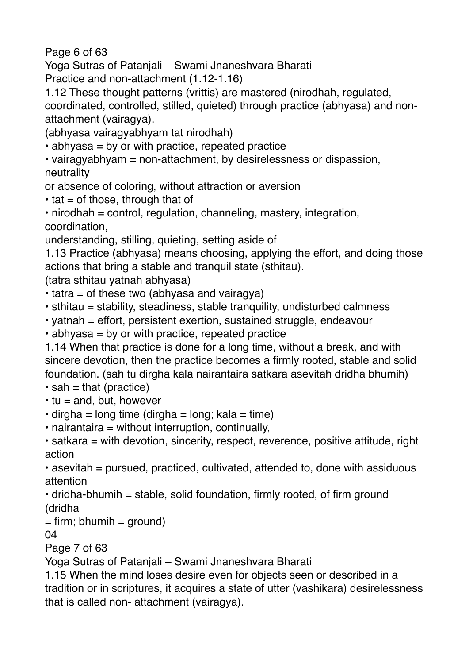Page 6 of 63

Yoga Sutras of Patanjali – Swami Jnaneshvara Bharati

Practice and non-attachment (1.12-1.16)

1.12 These thought patterns (vrittis) are mastered (nirodhah, regulated, coordinated, controlled, stilled, quieted) through practice (abhyasa) and nonattachment (vairagya).

(abhyasa vairagyabhyam tat nirodhah)

• abhyasa = by or with practice, repeated practice

• vairagyabhyam = non-attachment, by desirelessness or dispassion, neutrality

or absence of coloring, without attraction or aversion

 $\cdot$  tat = of those, through that of

• nirodhah = control, regulation, channeling, mastery, integration, coordination,

understanding, stilling, quieting, setting aside of

1.13 Practice (abhyasa) means choosing, applying the effort, and doing those actions that bring a stable and tranquil state (sthitau).

(tatra sthitau yatnah abhyasa)

 $\cdot$  tatra = of these two (abhyasa and vairagya)

- sthitau = stability, steadiness, stable tranquility, undisturbed calmness
- yatnah = effort, persistent exertion, sustained struggle, endeavour
- abhyasa = by or with practice, repeated practice

1.14 When that practice is done for a long time, without a break, and with sincere devotion, then the practice becomes a firmly rooted, stable and solid foundation. (sah tu dirgha kala nairantaira satkara asevitah dridha bhumih)

- $\cdot$  sah = that (practice)
- $\cdot$  tu = and, but, however
- $\cdot$  dirgha = long time (dirgha = long; kala = time)
- nairantaira = without interruption, continually,

• satkara = with devotion, sincerity, respect, reverence, positive attitude, right action

• asevitah = pursued, practiced, cultivated, attended to, done with assiduous attention

 $\cdot$  dridha-bhumih = stable, solid foundation, firmly rooted, of firm ground (dridha

 $=$  firm; bhumih  $=$  ground)

04

Page 7 of 63

Yoga Sutras of Patanjali – Swami Jnaneshvara Bharati

1.15 When the mind loses desire even for objects seen or described in a tradition or in scriptures, it acquires a state of utter (vashikara) desirelessness that is called non- attachment (vairagya).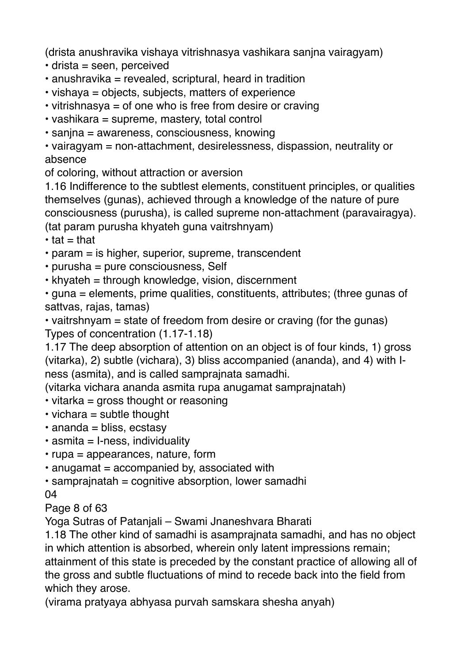(drista anushravika vishaya vitrishnasya vashikara sanjna vairagyam)

- drista = seen, perceived
- $\cdot$  anushravika = revealed, scriptural, heard in tradition
- vishaya = objects, subjects, matters of experience
- vitrishnasya = of one who is free from desire or craving
- vashikara = supreme, mastery, total control
- sanjna = awareness, consciousness, knowing

• vairagyam = non-attachment, desirelessness, dispassion, neutrality or absence

of coloring, without attraction or aversion

1.16 Indifference to the subtlest elements, constituent principles, or qualities themselves (gunas), achieved through a knowledge of the nature of pure consciousness (purusha), is called supreme non-attachment (paravairagya). (tat param purusha khyateh guna vaitrshnyam)

 $\cdot$  tat = that

- param = is higher, superior, supreme, transcendent
- purusha = pure consciousness, Self
- khyateh = through knowledge, vision, discernment

• guna = elements, prime qualities, constituents, attributes; (three gunas of sattvas, rajas, tamas)

• vaitrshnyam = state of freedom from desire or craving (for the gunas) Types of concentration (1.17-1.18)

1.17 The deep absorption of attention on an object is of four kinds, 1) gross (vitarka), 2) subtle (vichara), 3) bliss accompanied (ananda), and 4) with Iness (asmita), and is called samprajnata samadhi.

(vitarka vichara ananda asmita rupa anugamat samprajnatah)

- vitarka = gross thought or reasoning
- $\cdot$  vichara = subtle thought
- $\cdot$  ananda = bliss, ecstasy
- $\cdot$  asmita = I-ness, individuality
- rupa = appearances, nature, form
- $\cdot$  anugamat = accompanied by, associated with
- $\cdot$  samprajnatah = cognitive absorption, lower samadhi

04

Page 8 of 63

Yoga Sutras of Patanjali – Swami Jnaneshvara Bharati

1.18 The other kind of samadhi is asamprajnata samadhi, and has no object in which attention is absorbed, wherein only latent impressions remain; attainment of this state is preceded by the constant practice of allowing all of the gross and subtle fluctuations of mind to recede back into the field from which they arose.

(virama pratyaya abhyasa purvah samskara shesha anyah)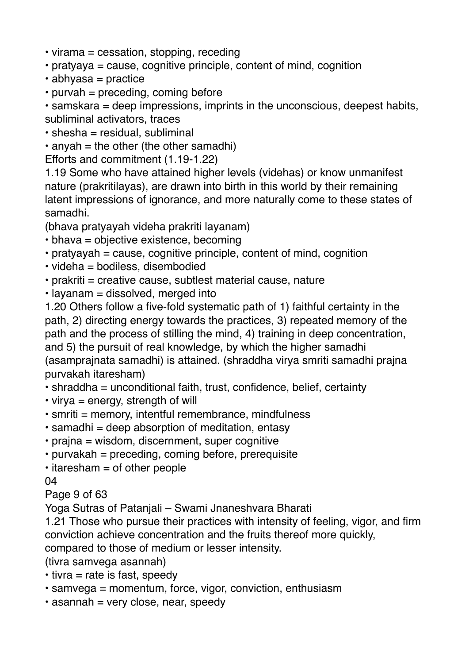- virama = cessation, stopping, receding
- pratyaya = cause, cognitive principle, content of mind, cognition
- abhyasa = practice
- $\cdot$  purvah = preceding, coming before

• samskara = deep impressions, imprints in the unconscious, deepest habits, subliminal activators, traces

- $\cdot$  shesha = residual, subliminal
- $\cdot$  anyah = the other (the other samadhi)

Efforts and commitment (1.19-1.22)

1.19 Some who have attained higher levels (videhas) or know unmanifest nature (prakritilayas), are drawn into birth in this world by their remaining latent impressions of ignorance, and more naturally come to these states of samadhi.

(bhava pratyayah videha prakriti layanam)

- bhava = objective existence, becoming
- $\cdot$  pratyayah = cause, cognitive principle, content of mind, cognition
- videha = bodiless, disembodied
- $\cdot$  prakriti = creative cause, subtlest material cause, nature
- $\cdot$  layanam = dissolved, merged into

1.20 Others follow a five-fold systematic path of 1) faithful certainty in the path, 2) directing energy towards the practices, 3) repeated memory of the path and the process of stilling the mind, 4) training in deep concentration, and 5) the pursuit of real knowledge, by which the higher samadhi (asamprajnata samadhi) is attained. (shraddha virya smriti samadhi prajna purvakah itaresham)

- shraddha = unconditional faith, trust, confidence, belief, certainty
- $\cdot$  virya = energy, strength of will
- $\cdot$  smriti = memory, intentful remembrance, mindfulness
- $\cdot$  samadhi = deep absorption of meditation, entasy
- prajna = wisdom, discernment, super cognitive
- purvakah = preceding, coming before, prerequisite
- $\cdot$  itaresham = of other people

04

Page 9 of 63

Yoga Sutras of Patanjali – Swami Jnaneshvara Bharati

1.21 Those who pursue their practices with intensity of feeling, vigor, and firm conviction achieve concentration and the fruits thereof more quickly,

compared to those of medium or lesser intensity.

(tivra samvega asannah)

- $\cdot$  tivra = rate is fast, speedy
- samvega = momentum, force, vigor, conviction, enthusiasm
- $\cdot$  asannah = very close, near, speedy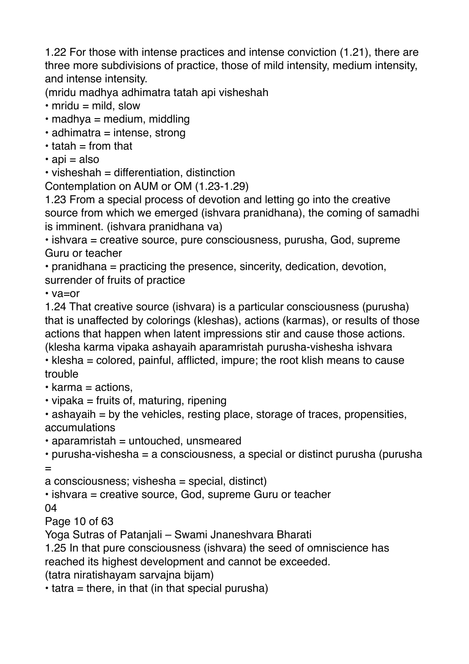1.22 For those with intense practices and intense conviction (1.21), there are three more subdivisions of practice, those of mild intensity, medium intensity, and intense intensity.

(mridu madhya adhimatra tatah api visheshah

- $\cdot$  mridu = mild, slow
- $\cdot$  madhya = medium, middling
- $\cdot$  adhimatra = intense, strong
- $\cdot$  tatah  $=$  from that
- $\cdot$  api = also

 $\cdot$  visheshah = differentiation, distinction

Contemplation on AUM or OM (1.23-1.29)

1.23 From a special process of devotion and letting go into the creative source from which we emerged (ishvara pranidhana), the coming of samadhi is imminent. (ishvara pranidhana va)

• ishvara = creative source, pure consciousness, purusha, God, supreme Guru or teacher

• pranidhana = practicing the presence, sincerity, dedication, devotion, surrender of fruits of practice

• va=or

1.24 That creative source (ishvara) is a particular consciousness (purusha) that is unaffected by colorings (kleshas), actions (karmas), or results of those actions that happen when latent impressions stir and cause those actions. (klesha karma vipaka ashayaih aparamristah purusha-vishesha ishvara • klesha = colored, painful, afflicted, impure; the root klish means to cause

## trouble

- $\cdot$  karma = actions.
- $\cdot$  vipaka = fruits of, maturing, ripening

 $\cdot$  ashayaih = by the vehicles, resting place, storage of traces, propensities, accumulations

 $\cdot$  aparamristah = untouched, unsmeared

```
• purusha-vishesha = a consciousness, a special or distinct purusha (purusha 
=
```
 $a$  consciousness; vishesha = special, distinct)

• ishvara = creative source, God, supreme Guru or teacher

04

Page 10 of 63

Yoga Sutras of Patanjali – Swami Jnaneshvara Bharati

1.25 In that pure consciousness (ishvara) the seed of omniscience has reached its highest development and cannot be exceeded.

(tatra niratishayam sarvajna bijam)

 $\cdot$  tatra = there, in that (in that special purusha)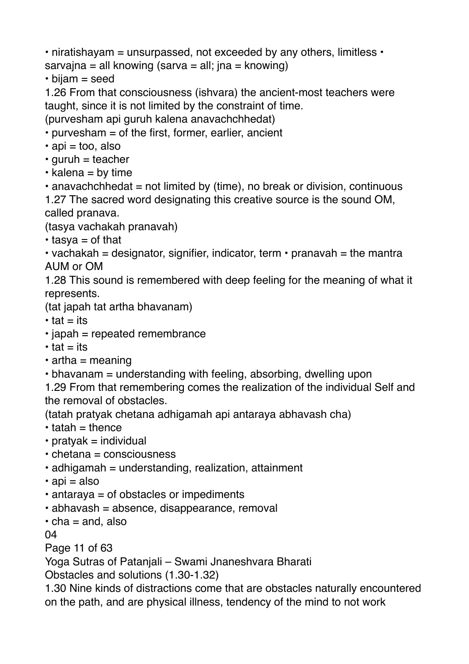• niratishayam = unsurpassed, not exceeded by any others, limitless  $\cdot$ sarvajna = all knowing (sarva = all; jna = knowing)

• bijam = seed

1.26 From that consciousness (ishvara) the ancient-most teachers were taught, since it is not limited by the constraint of time.

(purvesham api guruh kalena anavachchhedat)

• purvesham = of the first, former, earlier, ancient

 $\cdot$  api = too, also

 $\cdot$  guruh = teacher

- $\cdot$  kalena = by time
- $\cdot$  anavachchhedat = not limited by (time), no break or division, continuous

1.27 The sacred word designating this creative source is the sound OM, called pranava.

(tasya vachakah pranavah)

 $\cdot$  tasya = of that

• vachakah = designator, signifier, indicator, term • pranavah = the mantra AUM or OM

1.28 This sound is remembered with deep feeling for the meaning of what it represents.

(tat japah tat artha bhavanam)

- $\cdot$  tat = its
- $\cdot$  japah = repeated remembrance
- $\cdot$  tat = its
- $\cdot$  artha = meaning
- bhavanam = understanding with feeling, absorbing, dwelling upon

1.29 From that remembering comes the realization of the individual Self and the removal of obstacles.

(tatah pratyak chetana adhigamah api antaraya abhavash cha)

- $\cdot$  tatah = thence
- $\cdot$  pratyak = individual
- chetana = consciousness
- $\cdot$  adhigamah = understanding, realization, attainment
- $\cdot$  api = also
- antaraya = of obstacles or impediments
- $\cdot$  abhavash = absence, disappearance, removal
- $\cdot$  cha = and, also

04

Page 11 of 63

Yoga Sutras of Patanjali – Swami Jnaneshvara Bharati

Obstacles and solutions (1.30-1.32)

1.30 Nine kinds of distractions come that are obstacles naturally encountered on the path, and are physical illness, tendency of the mind to not work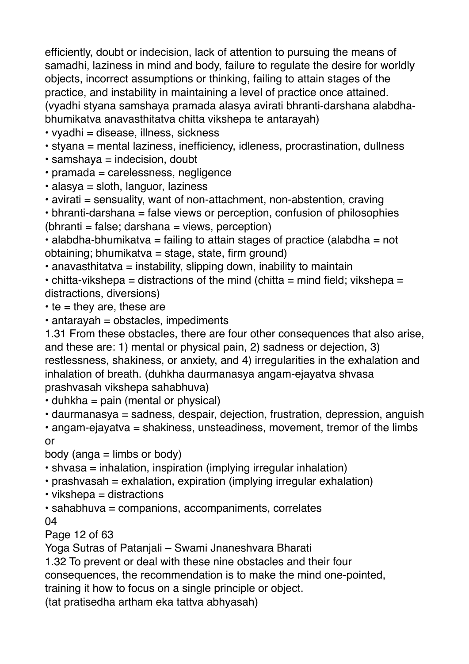efficiently, doubt or indecision, lack of attention to pursuing the means of samadhi, laziness in mind and body, failure to regulate the desire for worldly objects, incorrect assumptions or thinking, failing to attain stages of the practice, and instability in maintaining a level of practice once attained. (vyadhi styana samshaya pramada alasya avirati bhranti-darshana alabdhabhumikatva anavasthitatva chitta vikshepa te antarayah)

- vyadhi = disease, illness, sickness
- styana = mental laziness, inefficiency, idleness, procrastination, dullness
- $\cdot$  samshaya = indecision, doubt
- pramada = carelessness, negligence
- alasya = sloth, languor, laziness
- avirati = sensuality, want of non-attachment, non-abstention, craving

• bhranti-darshana = false views or perception, confusion of philosophies  $(bhranti = false; darshana = views, perception)$ 

• alabdha-bhumikatva = failing to attain stages of practice (alabdha = not obtaining; bhumikatva = stage, state, firm ground)

 $\cdot$  anavasthitatva = instability, slipping down, inability to maintain

• chitta-vikshepa = distractions of the mind (chitta = mind field; vikshepa = distractions, diversions)

 $\cdot$  te = they are, these are

 $\cdot$  antarayah = obstacles, impediments

1.31 From these obstacles, there are four other consequences that also arise, and these are: 1) mental or physical pain, 2) sadness or dejection, 3) restlessness, shakiness, or anxiety, and 4) irregularities in the exhalation and inhalation of breath. (duhkha daurmanasya angam-ejayatva shvasa prashvasah vikshepa sahabhuva)

 $\cdot$  duhkha = pain (mental or physical)

• daurmanasya = sadness, despair, dejection, frustration, depression, anguish

• angam-ejayatva = shakiness, unsteadiness, movement, tremor of the limbs or

 $body$  (anga = limbs or body)

- shvasa = inhalation, inspiration (implying irregular inhalation)
- prashvasah = exhalation, expiration (implying irregular exhalation)
- $\cdot$  vikshepa = distractions

• sahabhuva = companions, accompaniments, correlates 04

Page 12 of 63

Yoga Sutras of Patanjali – Swami Jnaneshvara Bharati

1.32 To prevent or deal with these nine obstacles and their four

consequences, the recommendation is to make the mind one-pointed,

training it how to focus on a single principle or object.

(tat pratisedha artham eka tattva abhyasah)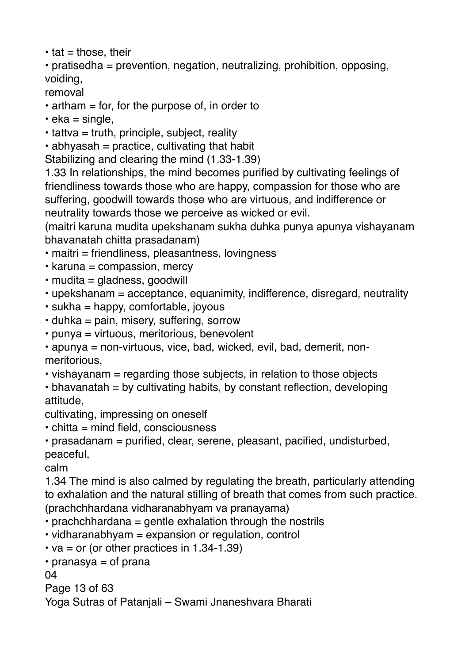```
\cdot tat = those, their
```
• pratisedha = prevention, negation, neutralizing, prohibition, opposing, voiding,

removal

- $\cdot$  artham = for, for the purpose of, in order to
- $\cdot$  eka = single,
- $\cdot$  tattva = truth, principle, subject, reality

 $\cdot$  abhyasah = practice, cultivating that habit

Stabilizing and clearing the mind (1.33-1.39)

1.33 In relationships, the mind becomes purified by cultivating feelings of friendliness towards those who are happy, compassion for those who are suffering, goodwill towards those who are virtuous, and indifference or neutrality towards those we perceive as wicked or evil.

(maitri karuna mudita upekshanam sukha duhka punya apunya vishayanam bhavanatah chitta prasadanam)

- maitri = friendliness, pleasantness, lovingness
- $\cdot$  karuna = compassion, mercy
- $\cdot$  mudita = gladness, goodwill
- upekshanam = acceptance, equanimity, indifference, disregard, neutrality
- $\cdot$  sukha = happy, comfortable, joyous
- $\cdot$  duhka = pain, misery, suffering, sorrow
- punya = virtuous, meritorious, benevolent

• apunya = non-virtuous, vice, bad, wicked, evil, bad, demerit, nonmeritorious,

• vishayanam = regarding those subjects, in relation to those objects

 $\cdot$  bhavanatah = by cultivating habits, by constant reflection, developing attitude,

cultivating, impressing on oneself

 $\cdot$  chitta = mind field, consciousness

```
• prasadanam = purified, clear, serene, pleasant, pacified, undisturbed, 
peaceful,
```
calm

1.34 The mind is also calmed by regulating the breath, particularly attending to exhalation and the natural stilling of breath that comes from such practice. (prachchhardana vidharanabhyam va pranayama)

• prachchhardana = gentle exhalation through the nostrils

- vidharanabhyam = expansion or regulation, control
- $\cdot$  va = or (or other practices in 1.34-1.39)

```
\cdot pranasya = of prana
```
04

```
Page 13 of 63
```
Yoga Sutras of Patanjali – Swami Jnaneshvara Bharati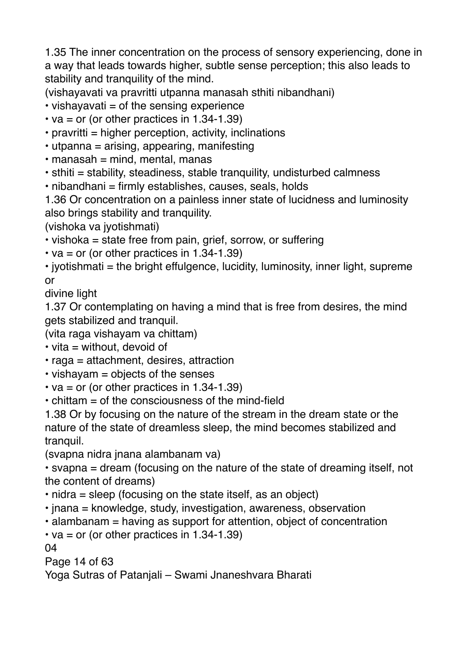1.35 The inner concentration on the process of sensory experiencing, done in a way that leads towards higher, subtle sense perception; this also leads to stability and tranquility of the mind.

(vishayavati va pravritti utpanna manasah sthiti nibandhani)

 $\cdot$  vishayavati = of the sensing experience

- va = or (or other practices in 1.34-1.39)
- $\cdot$  pravritti = higher perception, activity, inclinations
- utpanna = arising, appearing, manifesting
- $\cdot$  manasah = mind, mental, manas
- sthiti = stability, steadiness, stable tranquility, undisturbed calmness
- nibandhani = firmly establishes, causes, seals, holds

1.36 Or concentration on a painless inner state of lucidness and luminosity also brings stability and tranquility.

(vishoka va jyotishmati)

• vishoka = state free from pain, grief, sorrow, or suffering

 $\cdot$  va = or (or other practices in 1.34-1.39)

• ivotishmati = the bright effulgence, lucidity, luminosity, inner light, supreme or

divine light

1.37 Or contemplating on having a mind that is free from desires, the mind gets stabilized and tranquil.

(vita raga vishayam va chittam)

- $\cdot$  vita = without, devoid of
- raga = attachment, desires, attraction
- vishayam = objects of the senses
- $\cdot$  va = or (or other practices in 1.34-1.39)
- chittam = of the consciousness of the mind-field

1.38 Or by focusing on the nature of the stream in the dream state or the nature of the state of dreamless sleep, the mind becomes stabilized and tranquil.

(svapna nidra jnana alambanam va)

• svapna = dream (focusing on the nature of the state of dreaming itself, not the content of dreams)

- nidra = sleep (focusing on the state itself, as an object)
- jnana = knowledge, study, investigation, awareness, observation
- alambanam = having as support for attention, object of concentration
- $\cdot$  va = or (or other practices in 1.34-1.39)

04

Page 14 of 63

Yoga Sutras of Patanjali – Swami Jnaneshvara Bharati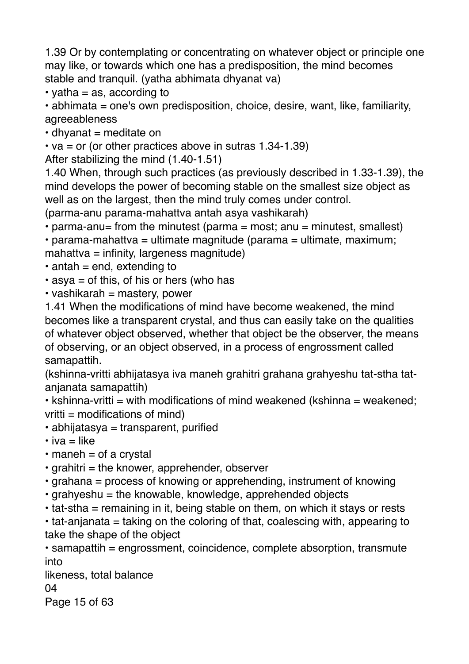1.39 Or by contemplating or concentrating on whatever object or principle one may like, or towards which one has a predisposition, the mind becomes stable and tranquil. (yatha abhimata dhyanat va)

• yatha  $=$  as, according to

• abhimata = one's own predisposition, choice, desire, want, like, familiarity, agreeableness

 $\cdot$  dhyanat = meditate on

• va = or (or other practices above in sutras  $1.34 - 1.39$ )

After stabilizing the mind (1.40-1.51)

1.40 When, through such practices (as previously described in 1.33-1.39), the mind develops the power of becoming stable on the smallest size object as well as on the largest, then the mind truly comes under control.

(parma-anu parama-mahattva antah asya vashikarah)

• parma-anu= from the minutest (parma = most; anu = minutest, smallest)

• parama-mahattva = ultimate magnitude (parama = ultimate, maximum; mahattva = infinity, largeness magnitude)

 $\cdot$  antah = end, extending to

 $\cdot$  asya = of this, of his or hers (who has

 $\cdot$  vashikarah = mastery, power

1.41 When the modifications of mind have become weakened, the mind becomes like a transparent crystal, and thus can easily take on the qualities of whatever object observed, whether that object be the observer, the means of observing, or an object observed, in a process of engrossment called samapattih.

(kshinna-vritti abhijatasya iva maneh grahitri grahana grahyeshu tat-stha tatanjanata samapattih)

 $\cdot$  kshinna-vritti = with modifications of mind weakened (kshinna = weakened;  $v$ ritti = modifications of mind)

• abhijatasya = transparent, purified

 $\cdot$  iva = like

 $\cdot$  maneh = of a crystal

 $\cdot$  grahitri = the knower, apprehender, observer

• grahana = process of knowing or apprehending, instrument of knowing

 $\cdot$  grahyeshu = the knowable, knowledge, apprehended objects

 $\cdot$  tat-stha = remaining in it, being stable on them, on which it stays or rests

 $\cdot$  tat-anjanata = taking on the coloring of that, coalescing with, appearing to take the shape of the object

• samapattih = engrossment, coincidence, complete absorption, transmute into

likeness, total balance

04

Page 15 of 63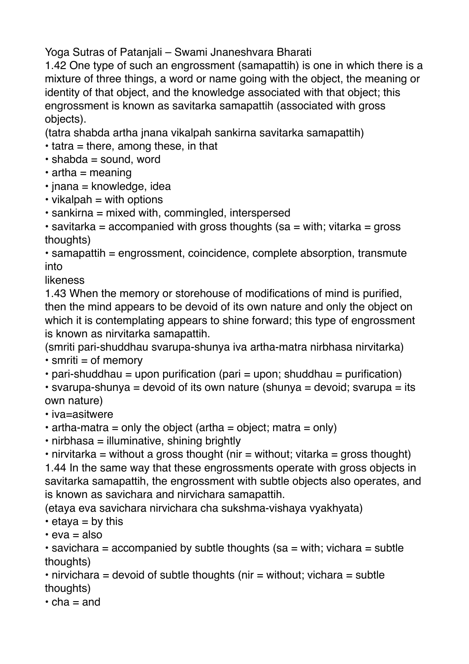Yoga Sutras of Patanjali – Swami Jnaneshvara Bharati

1.42 One type of such an engrossment (samapattih) is one in which there is a mixture of three things, a word or name going with the object, the meaning or identity of that object, and the knowledge associated with that object; this engrossment is known as savitarka samapattih (associated with gross objects).

(tatra shabda artha jnana vikalpah sankirna savitarka samapattih)

- $\cdot$  tatra = there, among these, in that
- $\cdot$  shabda = sound, word
- $\cdot$  artha = meaning
- $\cdot$  inana = knowledge, idea
- $\cdot$  vikalpah = with options
- sankirna = mixed with, commingled, interspersed

 $\cdot$  savitarka = accompanied with gross thoughts (sa = with; vitarka = gross thoughts)

• samapattih = engrossment, coincidence, complete absorption, transmute into

likeness

1.43 When the memory or storehouse of modifications of mind is purified, then the mind appears to be devoid of its own nature and only the object on which it is contemplating appears to shine forward; this type of engrossment is known as nirvitarka samapattih.

(smriti pari-shuddhau svarupa-shunya iva artha-matra nirbhasa nirvitarka)

 $\cdot$  smriti = of memory

• pari-shuddhau = upon purification (pari = upon; shuddhau = purification)

 $\cdot$  svarupa-shunya = devoid of its own nature (shunya = devoid; svarupa = its own nature)

• iva=asitwere

 $\cdot$  artha-matra = only the object (artha = object; matra = only)

• nirbhasa = illuminative, shining brightly

• nirvitarka = without a gross thought (nir = without; vitarka = gross thought) 1.44 In the same way that these engrossments operate with gross objects in savitarka samapattih, the engrossment with subtle objects also operates, and is known as savichara and nirvichara samapattih.

(etaya eva savichara nirvichara cha sukshma-vishaya vyakhyata)

 $\cdot$  etava = by this

 $\cdot$  eva = also

 $\cdot$  savichara = accompanied by subtle thoughts (sa = with; vichara = subtle thoughts)

 $\cdot$  nirvichara = devoid of subtle thoughts (nir = without; vichara = subtle thoughts)

 $\cdot$  cha = and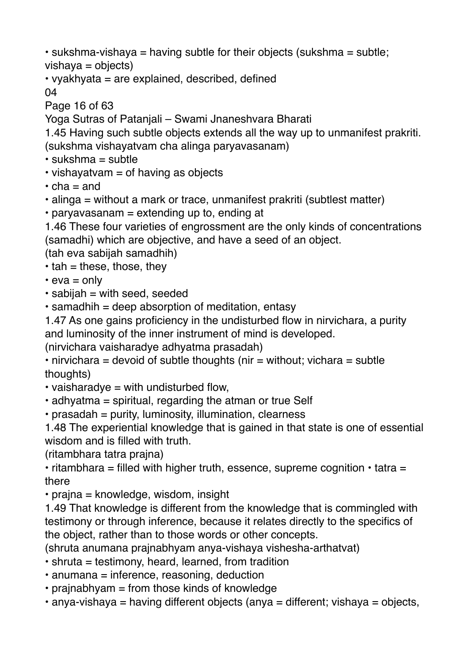• sukshma-vishaya = having subtle for their objects (sukshma = subtle;  $vishava = objects)$ 

• vyakhyata = are explained, described, defined

04

Page 16 of 63

Yoga Sutras of Patanjali – Swami Jnaneshvara Bharati

1.45 Having such subtle objects extends all the way up to unmanifest prakriti. (sukshma vishayatvam cha alinga paryavasanam)

 $\cdot$  sukshma = subtle

 $\cdot$  vishayatvam = of having as objects

 $\cdot$  cha = and

- alinga = without a mark or trace, unmanifest prakriti (subtlest matter)
- paryavasanam = extending up to, ending at

1.46 These four varieties of engrossment are the only kinds of concentrations (samadhi) which are objective, and have a seed of an object.

(tah eva sabijah samadhih)

 $\cdot$  tah = these, those, they

 $\cdot$  eva = only

- $\cdot$  sabijah = with seed, seeded
- samadhih = deep absorption of meditation, entasy

1.47 As one gains proficiency in the undisturbed flow in nirvichara, a purity and luminosity of the inner instrument of mind is developed.

(nirvichara vaisharadye adhyatma prasadah)

• nirvichara = devoid of subtle thoughts (nir = without; vichara = subtle thoughts)

- $\cdot$  vaisharadve = with undisturbed flow.
- adhyatma = spiritual, regarding the atman or true Self
- prasadah = purity, luminosity, illumination, clearness

1.48 The experiential knowledge that is gained in that state is one of essential wisdom and is filled with truth.

(ritambhara tatra prajna)

• ritambhara = filled with higher truth, essence, supreme cognition • tatra = there

 $\cdot$  prajna = knowledge, wisdom, insight

1.49 That knowledge is different from the knowledge that is commingled with testimony or through inference, because it relates directly to the specifics of the object, rather than to those words or other concepts.

(shruta anumana prajnabhyam anya-vishaya vishesha-arthatvat)

- shruta = testimony, heard, learned, from tradition
- anumana = inference, reasoning, deduction
- prajnabhyam = from those kinds of knowledge
- $\cdot$  anya-vishaya = having different objects (anya = different; vishaya = objects,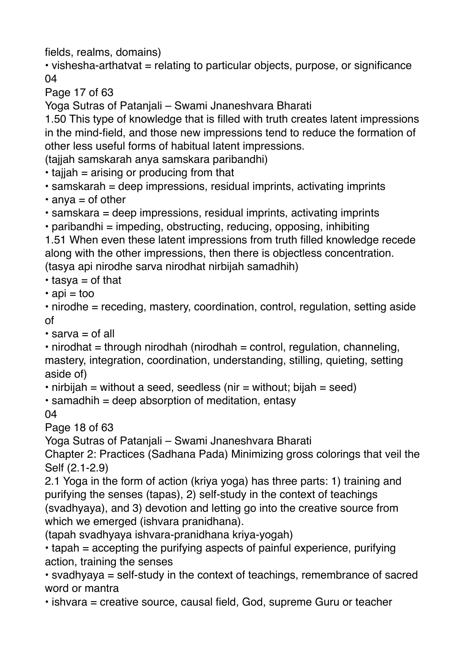fields, realms, domains)

• vishesha-arthatvat = relating to particular objects, purpose, or significance 04

Page 17 of 63

Yoga Sutras of Patanjali – Swami Jnaneshvara Bharati

1.50 This type of knowledge that is filled with truth creates latent impressions in the mind-field, and those new impressions tend to reduce the formation of other less useful forms of habitual latent impressions.

(tajjah samskarah anya samskara paribandhi)

 $\cdot$  tajjah = arising or producing from that

• samskarah = deep impressions, residual imprints, activating imprints

 $\cdot$  anya = of other

• samskara = deep impressions, residual imprints, activating imprints

• paribandhi = impeding, obstructing, reducing, opposing, inhibiting

1.51 When even these latent impressions from truth filled knowledge recede along with the other impressions, then there is objectless concentration. (tasya api nirodhe sarva nirodhat nirbijah samadhih)

 $\cdot$  tasya = of that

 $\cdot$  api = too

• nirodhe = receding, mastery, coordination, control, regulation, setting aside of

 $\cdot$  sarva = of all

 $\cdot$  nirodhat = through nirodhah (nirodhah = control, regulation, channeling, mastery, integration, coordination, understanding, stilling, quieting, setting aside of)

• nirbijah = without a seed, seedless (nir = without; bijah = seed)

• samadhih = deep absorption of meditation, entasy

04

Page 18 of 63

Yoga Sutras of Patanjali – Swami Jnaneshvara Bharati

Chapter 2: Practices (Sadhana Pada) Minimizing gross colorings that veil the Self (2.1-2.9)

2.1 Yoga in the form of action (kriya yoga) has three parts: 1) training and purifying the senses (tapas), 2) self-study in the context of teachings (svadhyaya), and 3) devotion and letting go into the creative source from which we emerged (ishvara pranidhana).

(tapah svadhyaya ishvara-pranidhana kriya-yogah)

• tapah = accepting the purifying aspects of painful experience, purifying action, training the senses

• svadhyaya = self-study in the context of teachings, remembrance of sacred word or mantra

• ishvara = creative source, causal field, God, supreme Guru or teacher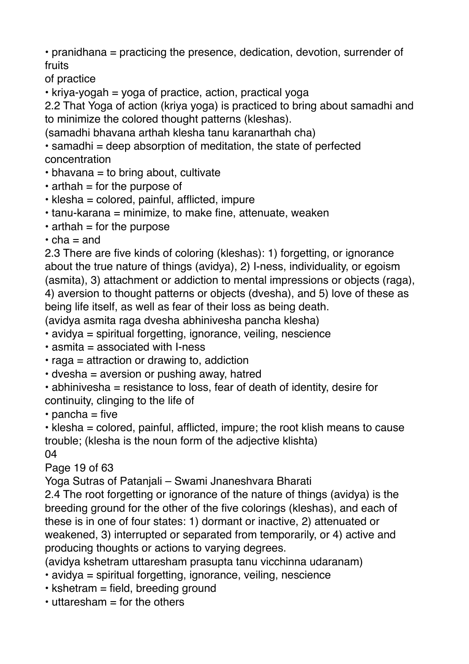• pranidhana = practicing the presence, dedication, devotion, surrender of fruits

of practice

 $\cdot$  kriya-yogah = yoga of practice, action, practical yoga

2.2 That Yoga of action (kriya yoga) is practiced to bring about samadhi and to minimize the colored thought patterns (kleshas).

(samadhi bhavana arthah klesha tanu karanarthah cha)

 $\cdot$  samadhi = deep absorption of meditation, the state of perfected concentration

- $\cdot$  bhavana = to bring about, cultivate
- $\cdot$  arthah = for the purpose of
- $\cdot$  klesha = colored, painful, afflicted, impure
- tanu-karana = minimize, to make fine, attenuate, weaken
- $\cdot$  arthah = for the purpose
- $\cdot$  cha = and

2.3 There are five kinds of coloring (kleshas): 1) forgetting, or ignorance about the true nature of things (avidya), 2) I-ness, individuality, or egoism (asmita), 3) attachment or addiction to mental impressions or objects (raga), 4) aversion to thought patterns or objects (dvesha), and 5) love of these as being life itself, as well as fear of their loss as being death.

(avidya asmita raga dvesha abhinivesha pancha klesha)

• avidya = spiritual forgetting, ignorance, veiling, nescience

- $\cdot$  asmita = associated with I-ness
- $\cdot$  raga = attraction or drawing to, addiction
- $\cdot$  dvesha = aversion or pushing away, hatred
- abhinivesha = resistance to loss, fear of death of identity, desire for continuity, clinging to the life of

 $\cdot$  pancha = five

• klesha = colored, painful, afflicted, impure; the root klish means to cause trouble; (klesha is the noun form of the adjective klishta)

04

Page 19 of 63

Yoga Sutras of Patanjali – Swami Jnaneshvara Bharati

2.4 The root forgetting or ignorance of the nature of things (avidya) is the breeding ground for the other of the five colorings (kleshas), and each of these is in one of four states: 1) dormant or inactive, 2) attenuated or weakened, 3) interrupted or separated from temporarily, or 4) active and producing thoughts or actions to varying degrees.

(avidya kshetram uttaresham prasupta tanu vicchinna udaranam)

- avidya = spiritual forgetting, ignorance, veiling, nescience
- $\cdot$  kshetram = field, breeding ground
- $\cdot$  uttaresham  $=$  for the others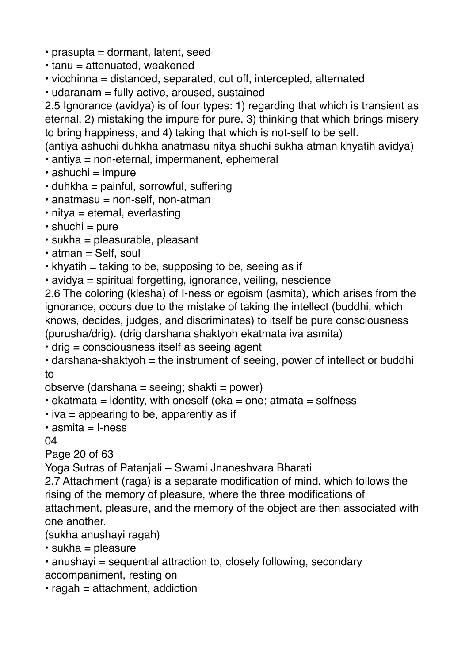- prasupta = dormant, latent, seed
- tanu = attenuated, weakened
- vicchinna = distanced, separated, cut off, intercepted, alternated
- udaranam = fully active, aroused, sustained

2.5 Ignorance (avidya) is of four types: 1) regarding that which is transient as eternal, 2) mistaking the impure for pure, 3) thinking that which brings misery to bring happiness, and 4) taking that which is not-self to be self.

(antiya ashuchi duhkha anatmasu nitya shuchi sukha atman khyatih avidya)

- antiya = non-eternal, impermanent, ephemeral
- $\cdot$  ashuchi = impure
- $\cdot$  duhkha = painful, sorrowful, suffering
- $\cdot$  anatmasu = non-self, non-atman
- nitya = eternal, everlasting
- $\cdot$  shuchi = pure
- sukha = pleasurable, pleasant
- $\cdot$  atman = Self, soul
- $\cdot$  khyatih = taking to be, supposing to be, seeing as if
- avidya = spiritual forgetting, ignorance, veiling, nescience

2.6 The coloring (klesha) of I-ness or egoism (asmita), which arises from the ignorance, occurs due to the mistake of taking the intellect (buddhi, which knows, decides, judges, and discriminates) to itself be pure consciousness (purusha/drig). (drig darshana shaktyoh ekatmata iva asmita)

- drig = consciousness itself as seeing agent
- $\cdot$  darshana-shaktyoh = the instrument of seeing, power of intellect or buddhi to

observe (darshana = seeing; shakti = power)

- $\cdot$  ekatmata = identity, with oneself (eka = one; atmata = selfness
- $\cdot$  iva = appearing to be, apparently as if
- $\cdot$  asmita = I-ness

04

Page 20 of 63

Yoga Sutras of Patanjali – Swami Jnaneshvara Bharati

2.7 Attachment (raga) is a separate modification of mind, which follows the rising of the memory of pleasure, where the three modifications of

attachment, pleasure, and the memory of the object are then associated with one another.

(sukha anushayi ragah)

- $\cdot$  sukha = pleasure
- anushayi = sequential attraction to, closely following, secondary accompaniment, resting on
- $\cdot$  ragah = attachment, addiction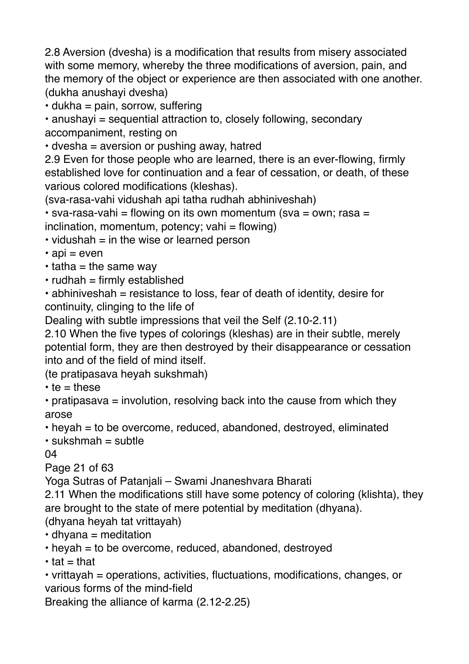2.8 Aversion (dvesha) is a modification that results from misery associated with some memory, whereby the three modifications of aversion, pain, and the memory of the object or experience are then associated with one another. (dukha anushayi dvesha)

 $\cdot$  dukha = pain, sorrow, suffering

• anushayi = sequential attraction to, closely following, secondary accompaniment, resting on

• dvesha = aversion or pushing away, hatred

2.9 Even for those people who are learned, there is an ever-flowing, firmly established love for continuation and a fear of cessation, or death, of these various colored modifications (kleshas).

(sva-rasa-vahi vidushah api tatha rudhah abhiniveshah)

 $\cdot$  sva-rasa-vahi = flowing on its own momentum (sva = own; rasa =  $inclination$ , momentum, potency; vahi = flowing)

- $\cdot$  vidushah = in the wise or learned person
- $\cdot$  api = even
- $\cdot$  tatha = the same way
- $\cdot$  rudhah = firmly established

• abhiniveshah = resistance to loss, fear of death of identity, desire for continuity, clinging to the life of

Dealing with subtle impressions that veil the Self (2.10-2.11)

2.10 When the five types of colorings (kleshas) are in their subtle, merely potential form, they are then destroyed by their disappearance or cessation into and of the field of mind itself.

(te pratipasava heyah sukshmah)

 $\cdot$  te = these

 $\cdot$  pratipasava = involution, resolving back into the cause from which they arose

• heyah = to be overcome, reduced, abandoned, destroyed, eliminated

 $\cdot$  sukshmah = subtle

04

Page 21 of 63

Yoga Sutras of Patanjali – Swami Jnaneshvara Bharati

2.11 When the modifications still have some potency of coloring (klishta), they are brought to the state of mere potential by meditation (dhyana).

(dhyana heyah tat vrittayah)

 $\cdot$  dhyana = meditation

• heyah = to be overcome, reduced, abandoned, destroyed

 $\cdot$  tat = that

• vrittayah = operations, activities, fluctuations, modifications, changes, or various forms of the mind-field

Breaking the alliance of karma (2.12-2.25)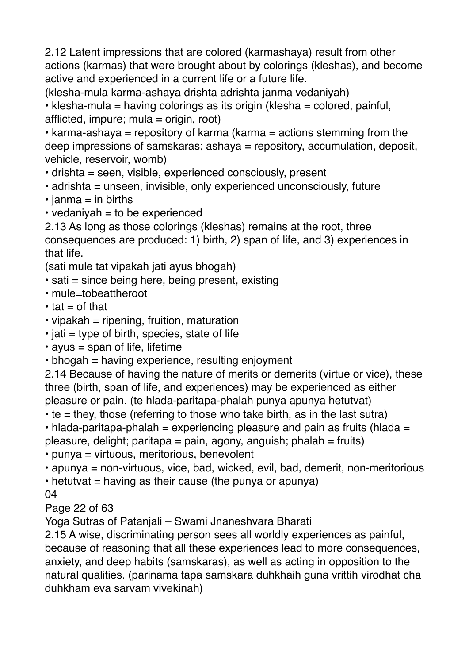2.12 Latent impressions that are colored (karmashaya) result from other actions (karmas) that were brought about by colorings (kleshas), and become active and experienced in a current life or a future life.

(klesha-mula karma-ashaya drishta adrishta janma vedaniyah) • klesha-mula = having colorings as its origin (klesha = colored, painful, afflicted, impure; mula = origin, root)

• karma-ashaya = repository of karma (karma = actions stemming from the deep impressions of samskaras; ashaya = repository, accumulation, deposit, vehicle, reservoir, womb)

• drishta = seen, visible, experienced consciously, present

- adrishta = unseen, invisible, only experienced unconsciously, future
- $\cdot$  janma = in births
- $\cdot$  vedaniyah = to be experienced

2.13 As long as those colorings (kleshas) remains at the root, three consequences are produced: 1) birth, 2) span of life, and 3) experiences in that life.

(sati mule tat vipakah jati ayus bhogah)

- $\cdot$  sati = since being here, being present, existing
- mule=tobeattheroot
- $\cdot$  tat = of that
- $\cdot$  vipakah = ripening, fruition, maturation
- $\cdot$  jati = type of birth, species, state of life
- $\cdot$  ayus = span of life, lifetime
- bhogah = having experience, resulting enjoyment

2.14 Because of having the nature of merits or demerits (virtue or vice), these three (birth, span of life, and experiences) may be experienced as either pleasure or pain. (te hlada-paritapa-phalah punya apunya hetutvat)

- $\cdot$  te = they, those (referring to those who take birth, as in the last sutra)
- $\cdot$  hlada-paritapa-phalah = experiencing pleasure and pain as fruits (hlada =
- pleasure, delight; paritapa = pain, agony, anguish; phalah = fruits)
- punya = virtuous, meritorious, benevolent
- apunya = non-virtuous, vice, bad, wicked, evil, bad, demerit, non-meritorious
- hetutvat = having as their cause (the punya or apunya)
- 04

Page 22 of 63

Yoga Sutras of Patanjali – Swami Jnaneshvara Bharati

2.15 A wise, discriminating person sees all worldly experiences as painful, because of reasoning that all these experiences lead to more consequences, anxiety, and deep habits (samskaras), as well as acting in opposition to the natural qualities. (parinama tapa samskara duhkhaih guna vrittih virodhat cha duhkham eva sarvam vivekinah)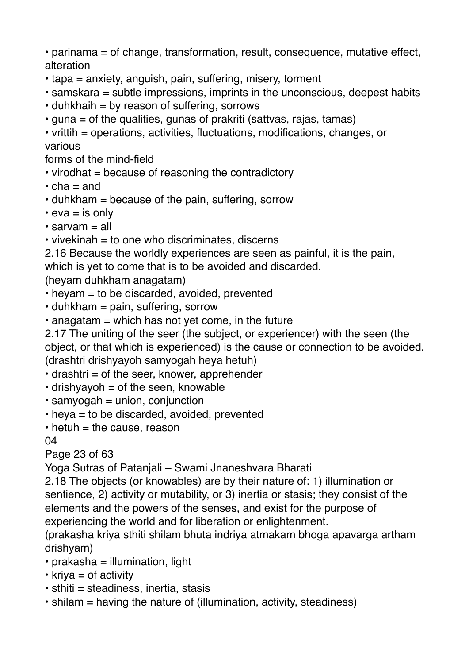• parinama = of change, transformation, result, consequence, mutative effect, alteration

- tapa = anxiety, anguish, pain, suffering, misery, torment
- samskara = subtle impressions, imprints in the unconscious, deepest habits
- $\cdot$  duhkhaih = by reason of suffering, sorrows
- guna = of the qualities, gunas of prakriti (sattvas, rajas, tamas)

• vrittih = operations, activities, fluctuations, modifications, changes, or various

forms of the mind-field

- virodhat = because of reasoning the contradictory
- $\cdot$  cha = and
- duhkham = because of the pain, suffering, sorrow
- $\cdot$  eva = is only
- $\cdot$  sarvam = all
- $\cdot$  vivekinah = to one who discriminates, discerns

2.16 Because the worldly experiences are seen as painful, it is the pain, which is yet to come that is to be avoided and discarded.

(heyam duhkham anagatam)

- heyam = to be discarded, avoided, prevented
- $\cdot$  duhkham = pain, suffering, sorrow
- $\cdot$  anagatam = which has not yet come, in the future

2.17 The uniting of the seer (the subject, or experiencer) with the seen (the object, or that which is experienced) is the cause or connection to be avoided. (drashtri drishyayoh samyogah heya hetuh)

- $\cdot$  drashtri = of the seer, knower, apprehender
- $\cdot$  drishyayoh = of the seen, knowable
- $\cdot$  samyogah = union, conjunction
- $\cdot$  heva = to be discarded, avoided, prevented
- $\cdot$  hetuh = the cause, reason

04

Page 23 of 63

Yoga Sutras of Patanjali – Swami Jnaneshvara Bharati

2.18 The objects (or knowables) are by their nature of: 1) illumination or sentience, 2) activity or mutability, or 3) inertia or stasis; they consist of the elements and the powers of the senses, and exist for the purpose of experiencing the world and for liberation or enlightenment.

(prakasha kriya sthiti shilam bhuta indriya atmakam bhoga apavarga artham drishyam)

- $\cdot$  prakasha = illumination, light
- $\cdot$  kriva = of activity
- $\cdot$  sthiti = steadiness, inertia, stasis
- shilam = having the nature of (illumination, activity, steadiness)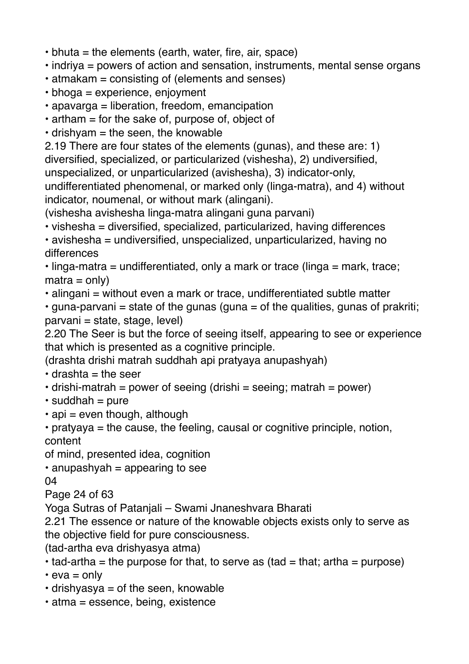- bhuta = the elements (earth, water, fire, air, space)
- indriya = powers of action and sensation, instruments, mental sense organs
- atmakam = consisting of (elements and senses)
- bhoga = experience, enjoyment
- apavarga = liberation, freedom, emancipation
- $\cdot$  artham = for the sake of, purpose of, object of

 $\cdot$  drishyam = the seen, the knowable

2.19 There are four states of the elements (gunas), and these are: 1) diversified, specialized, or particularized (vishesha), 2) undiversified, unspecialized, or unparticularized (avishesha), 3) indicator-only, undifferentiated phenomenal, or marked only (linga-matra), and 4) without

indicator, noumenal, or without mark (alingani). (vishesha avishesha linga-matra alingani guna parvani)

• vishesha = diversified, specialized, particularized, having differences

• avishesha = undiversified, unspecialized, unparticularized, having no differences

• linga-matra = undifferentiated, only a mark or trace (linga = mark, trace;  $matra = only$ 

• alingani = without even a mark or trace, undifferentiated subtle matter

 $\cdot$  guna-parvani = state of the gunas (guna = of the qualities, gunas of prakriti; parvani = state, stage, level)

2.20 The Seer is but the force of seeing itself, appearing to see or experience that which is presented as a cognitive principle.

(drashta drishi matrah suddhah api pratyaya anupashyah)

- $\cdot$  drashta = the seer
- $\cdot$  drishi-matrah = power of seeing (drishi = seeing; matrah = power)
- $\cdot$  suddhah = pure
- $\cdot$  api = even though, although
- pratyaya = the cause, the feeling, causal or cognitive principle, notion, content

of mind, presented idea, cognition

• anupashyah = appearing to see

04

Page 24 of 63

Yoga Sutras of Patanjali – Swami Jnaneshvara Bharati

2.21 The essence or nature of the knowable objects exists only to serve as the objective field for pure consciousness.

(tad-artha eva drishyasya atma)

 $\cdot$  tad-artha = the purpose for that, to serve as (tad = that; artha = purpose)

 $\cdot$  eva = only

- $\cdot$  drishyasya = of the seen, knowable
- atma = essence, being, existence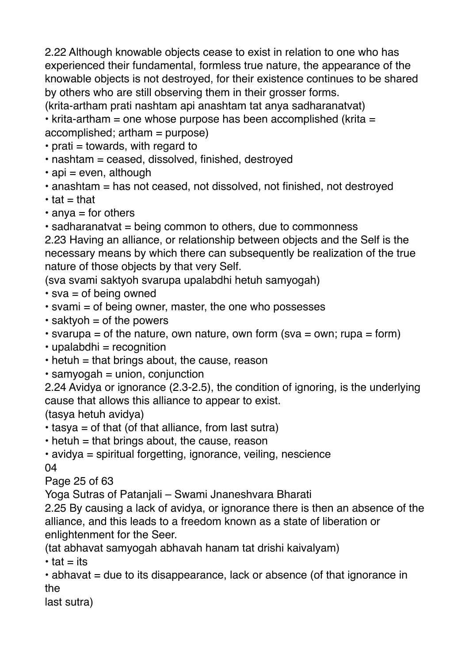2.22 Although knowable objects cease to exist in relation to one who has experienced their fundamental, formless true nature, the appearance of the knowable objects is not destroyed, for their existence continues to be shared by others who are still observing them in their grosser forms.

(krita-artham prati nashtam api anashtam tat anya sadharanatvat)

• krita-artham = one whose purpose has been accomplished (krita = accomplished; artham = purpose)

- $\cdot$  prati = towards, with regard to
- nashtam = ceased, dissolved, finished, destroyed
- $\cdot$  api = even, although
- anashtam = has not ceased, not dissolved, not finished, not destroyed
- $\cdot$  tat = that
- $\cdot$  anya = for others

• sadharanatvat = being common to others, due to commonness

2.23 Having an alliance, or relationship between objects and the Self is the necessary means by which there can subsequently be realization of the true nature of those objects by that very Self.

(sva svami saktyoh svarupa upalabdhi hetuh samyogah)

- $\cdot$  sva = of being owned
- svami = of being owner, master, the one who possesses
- $\cdot$  saktyoh = of the powers
- svarupa = of the nature, own nature, own form (sva = own; rupa = form)
- $\cdot$  upalabdhi = recognition
- $\cdot$  hetuh = that brings about, the cause, reason
- $\cdot$  samyogah = union, conjunction

2.24 Avidya or ignorance (2.3-2.5), the condition of ignoring, is the underlying cause that allows this alliance to appear to exist.

(tasya hetuh avidya)

 $\cdot$  tasya = of that (of that alliance, from last sutra)

• hetuh = that brings about, the cause, reason

• avidya = spiritual forgetting, ignorance, veiling, nescience 04

Page 25 of 63

Yoga Sutras of Patanjali – Swami Jnaneshvara Bharati

2.25 By causing a lack of avidya, or ignorance there is then an absence of the alliance, and this leads to a freedom known as a state of liberation or enlightenment for the Seer.

(tat abhavat samyogah abhavah hanam tat drishi kaivalyam)

 $\cdot$  tat  $=$  its

• abhavat = due to its disappearance, lack or absence (of that ignorance in the

last sutra)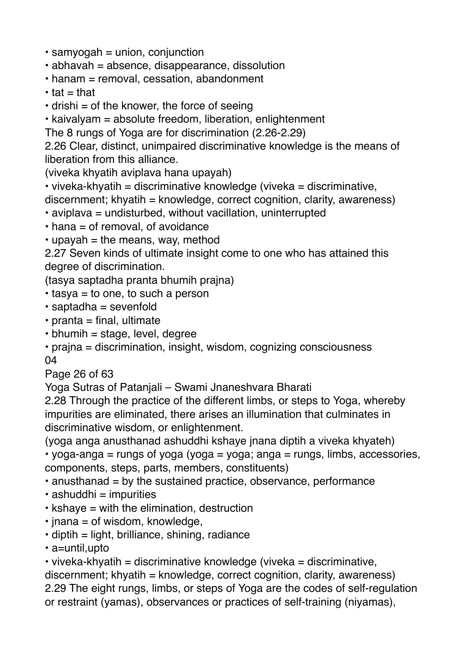- $\cdot$  samyogah = union, conjunction
- abhavah = absence, disappearance, dissolution
- hanam = removal, cessation, abandonment
- $\cdot$  tat = that
- $\cdot$  drishi = of the knower, the force of seeing

• kaivalyam = absolute freedom, liberation, enlightenment

The 8 rungs of Yoga are for discrimination (2.26-2.29)

2.26 Clear, distinct, unimpaired discriminative knowledge is the means of liberation from this alliance.

(viveka khyatih aviplava hana upayah)

• viveka-khyatih = discriminative knowledge (viveka = discriminative,

discernment; khyatih = knowledge, correct cognition, clarity, awareness)

- aviplava = undisturbed, without vacillation, uninterrupted
- $\cdot$  hana = of removal, of avoidance
- $\cdot$  upayah = the means, way, method

2.27 Seven kinds of ultimate insight come to one who has attained this degree of discrimination.

(tasya saptadha pranta bhumih prajna)

- $\cdot$  tasya = to one, to such a person
- saptadha = sevenfold
- $\cdot$  pranta = final, ultimate
- $\cdot$  bhumih = stage, level, degree

• prajna = discrimination, insight, wisdom, cognizing consciousness 04

Page 26 of 63

Yoga Sutras of Patanjali – Swami Jnaneshvara Bharati

2.28 Through the practice of the different limbs, or steps to Yoga, whereby impurities are eliminated, there arises an illumination that culminates in discriminative wisdom, or enlightenment.

(yoga anga anusthanad ashuddhi kshaye jnana diptih a viveka khyateh)

• yoga-anga = rungs of yoga (yoga = yoga; anga = rungs, limbs, accessories, components, steps, parts, members, constituents)

 $\cdot$  anusthanad = by the sustained practice, observance, performance

- $\cdot$  ashuddhi = impurities
- kshaye = with the elimination, destruction
- $\cdot$  jnana = of wisdom, knowledge,
- $\cdot$  diptih = light, brilliance, shining, radiance
- a=until,upto

• viveka-khyatih = discriminative knowledge (viveka = discriminative,  $discernment$ ; khyatih = knowledge, correct cognition, clarity, awareness) 2.29 The eight rungs, limbs, or steps of Yoga are the codes of self-regulation or restraint (yamas), observances or practices of self-training (niyamas),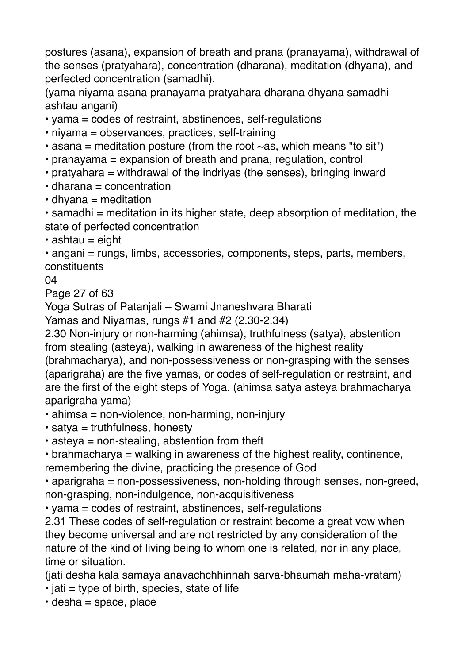postures (asana), expansion of breath and prana (pranayama), withdrawal of the senses (pratyahara), concentration (dharana), meditation (dhyana), and perfected concentration (samadhi).

(yama niyama asana pranayama pratyahara dharana dhyana samadhi ashtau angani)

• yama = codes of restraint, abstinences, self-regulations

• niyama = observances, practices, self-training

• asana = meditation posture (from the root  $\sim$  as, which means "to sit")

• pranayama = expansion of breath and prana, regulation, control

• pratyahara = withdrawal of the indriyas (the senses), bringing inward

 $\cdot$  dharana = concentration

 $\cdot$  dhyana = meditation

• samadhi = meditation in its higher state, deep absorption of meditation, the state of perfected concentration

 $\cdot$  ashtau = eight

• angani = rungs, limbs, accessories, components, steps, parts, members, constituents

04

Page 27 of 63

Yoga Sutras of Patanjali – Swami Jnaneshvara Bharati

Yamas and Niyamas, rungs #1 and #2 (2.30-2.34)

2.30 Non-injury or non-harming (ahimsa), truthfulness (satya), abstention from stealing (asteya), walking in awareness of the highest reality (brahmacharya), and non-possessiveness or non-grasping with the senses (aparigraha) are the five yamas, or codes of self-regulation or restraint, and are the first of the eight steps of Yoga. (ahimsa satya asteya brahmacharya aparigraha yama)

- ahimsa = non-violence, non-harming, non-injury
- satya = truthfulness, honesty
- $\cdot$  asteya = non-stealing, abstention from theft

• brahmacharya = walking in awareness of the highest reality, continence, remembering the divine, practicing the presence of God

• aparigraha = non-possessiveness, non-holding through senses, non-greed, non-grasping, non-indulgence, non-acquisitiveness

• yama = codes of restraint, abstinences, self-regulations

2.31 These codes of self-regulation or restraint become a great vow when they become universal and are not restricted by any consideration of the nature of the kind of living being to whom one is related, nor in any place, time or situation.

(jati desha kala samaya anavachchhinnah sarva-bhaumah maha-vratam)

- $\cdot$  jati = type of birth, species, state of life
- $\cdot$  desha = space, place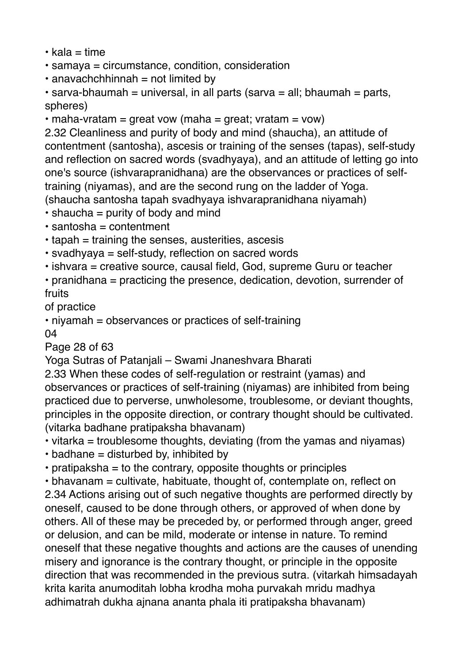- $\cdot$  kala = time
- samaya = circumstance, condition, consideration
- $\cdot$  anavachchhinnah = not limited by
- $\cdot$  sarva-bhaumah = universal, in all parts (sarva = all; bhaumah = parts, spheres)
- maha-vratam = great vow (maha = great; vratam = vow)

2.32 Cleanliness and purity of body and mind (shaucha), an attitude of contentment (santosha), ascesis or training of the senses (tapas), self-study and reflection on sacred words (svadhyaya), and an attitude of letting go into one's source (ishvarapranidhana) are the observances or practices of selftraining (niyamas), and are the second rung on the ladder of Yoga.

(shaucha santosha tapah svadhyaya ishvarapranidhana niyamah)

- $\cdot$  shaucha = purity of body and mind
- $\cdot$  santosha = contentment
- tapah = training the senses, austerities, ascesis
- svadhyaya = self-study, reflection on sacred words
- ishvara = creative source, causal field, God, supreme Guru or teacher

• pranidhana = practicing the presence, dedication, devotion, surrender of fruits

of practice

• niyamah = observances or practices of self-training

04

Page 28 of 63

Yoga Sutras of Patanjali – Swami Jnaneshvara Bharati

2.33 When these codes of self-regulation or restraint (yamas) and observances or practices of self-training (niyamas) are inhibited from being practiced due to perverse, unwholesome, troublesome, or deviant thoughts, principles in the opposite direction, or contrary thought should be cultivated. (vitarka badhane pratipaksha bhavanam)

- vitarka = troublesome thoughts, deviating (from the yamas and niyamas)
- $\cdot$  badhane = disturbed by, inhibited by
- $\cdot$  pratipaksha = to the contrary, opposite thoughts or principles

• bhavanam = cultivate, habituate, thought of, contemplate on, reflect on 2.34 Actions arising out of such negative thoughts are performed directly by oneself, caused to be done through others, or approved of when done by others. All of these may be preceded by, or performed through anger, greed or delusion, and can be mild, moderate or intense in nature. To remind oneself that these negative thoughts and actions are the causes of unending misery and ignorance is the contrary thought, or principle in the opposite direction that was recommended in the previous sutra. (vitarkah himsadayah krita karita anumoditah lobha krodha moha purvakah mridu madhya adhimatrah dukha ajnana ananta phala iti pratipaksha bhavanam)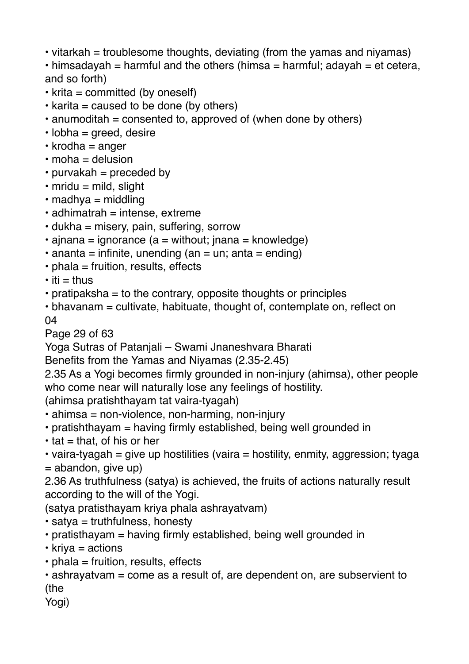• vitarkah = troublesome thoughts, deviating (from the yamas and niyamas)

• himsadayah = harmful and the others (himsa = harmful; adayah = et cetera, and so forth)

- $\cdot$  krita = committed (by oneself)
- $\cdot$  karita = caused to be done (by others)
- $\cdot$  anumoditah = consented to, approved of (when done by others)
- $\cdot$  lobha = greed, desire
- $\cdot$  krodha = anger
- $\cdot$  moha = delusion
- $\cdot$  purvakah = preceded by
- $\cdot$  mridu = mild, slight
- $\cdot$  madhya = middling
- $\cdot$  adhimatrah = intense, extreme
- $\cdot$  dukha = misery, pain, suffering, sorrow
- $\cdot$  ajnana = ignorance (a = without; jnana = knowledge)
- $\cdot$  ananta = infinite, unending (an = un; anta = ending)
- $\cdot$  phala = fruition, results, effects
- $\cdot$  iti = thus
- pratipaksha = to the contrary, opposite thoughts or principles
- bhavanam = cultivate, habituate, thought of, contemplate on, reflect on 04

Page 29 of 63

Yoga Sutras of Patanjali – Swami Jnaneshvara Bharati

```
Benefits from the Yamas and Niyamas (2.35-2.45)
```
2.35 As a Yogi becomes firmly grounded in non-injury (ahimsa), other people who come near will naturally lose any feelings of hostility.

(ahimsa pratishthayam tat vaira-tyagah)

- ahimsa = non-violence, non-harming, non-injury
- pratishthayam = having firmly established, being well grounded in
- $\cdot$  tat = that, of his or her
- vaira-tyagah = give up hostilities (vaira = hostility, enmity, aggression; tyaga  $=$  abandon, give up)

2.36 As truthfulness (satya) is achieved, the fruits of actions naturally result according to the will of the Yogi.

(satya pratisthayam kriya phala ashrayatvam)

• satya = truthfulness, honesty

- pratisthayam = having firmly established, being well grounded in
- kriya = actions
- $\cdot$  phala = fruition, results, effects
- ashrayatvam = come as a result of, are dependent on, are subservient to (the

Yogi)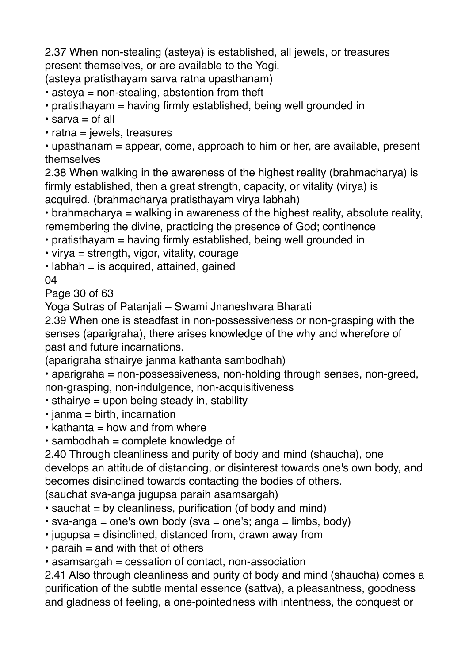2.37 When non-stealing (asteya) is established, all jewels, or treasures present themselves, or are available to the Yogi.

(asteya pratisthayam sarva ratna upasthanam)

• asteya = non-stealing, abstention from theft

• pratisthayam = having firmly established, being well grounded in

 $\cdot$  sarva = of all

 $\cdot$  ratna = jewels, treasures

• upasthanam = appear, come, approach to him or her, are available, present themselves

2.38 When walking in the awareness of the highest reality (brahmacharya) is firmly established, then a great strength, capacity, or vitality (virya) is acquired. (brahmacharya pratisthayam virya labhah)

• brahmacharya = walking in awareness of the highest reality, absolute reality, remembering the divine, practicing the presence of God; continence

- pratisthayam = having firmly established, being well grounded in
- virya = strength, vigor, vitality, courage

 $\cdot$  labhah = is acquired, attained, gained

04

Page 30 of 63

Yoga Sutras of Patanjali – Swami Jnaneshvara Bharati

2.39 When one is steadfast in non-possessiveness or non-grasping with the senses (aparigraha), there arises knowledge of the why and wherefore of past and future incarnations.

(aparigraha sthairye janma kathanta sambodhah)

• aparigraha = non-possessiveness, non-holding through senses, non-greed, non-grasping, non-indulgence, non-acquisitiveness

- sthairye = upon being steady in, stability
- $\cdot$  janma = birth, incarnation
- $\cdot$  kathanta = how and from where
- $\cdot$  sambodhah = complete knowledge of

2.40 Through cleanliness and purity of body and mind (shaucha), one develops an attitude of distancing, or disinterest towards one's own body, and becomes disinclined towards contacting the bodies of others.

(sauchat sva-anga jugupsa paraih asamsargah)

- sauchat = by cleanliness, purification (of body and mind)
- sva-anga = one's own body (sva = one's; anga = limbs, body)
- jugupsa = disinclined, distanced from, drawn away from
- $\cdot$  paraih = and with that of others
- asamsargah = cessation of contact, non-association

2.41 Also through cleanliness and purity of body and mind (shaucha) comes a purification of the subtle mental essence (sattva), a pleasantness, goodness and gladness of feeling, a one-pointedness with intentness, the conquest or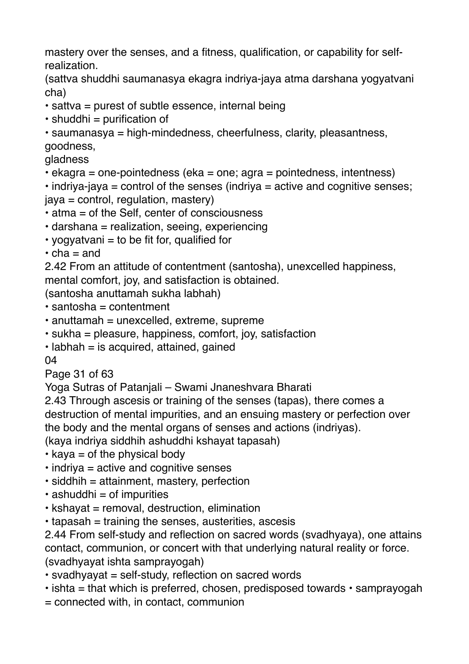mastery over the senses, and a fitness, qualification, or capability for selfrealization.

(sattva shuddhi saumanasya ekagra indriya-jaya atma darshana yogyatvani cha)

- sattva = purest of subtle essence, internal being
- $\cdot$  shuddhi = purification of

• saumanasya = high-mindedness, cheerfulness, clarity, pleasantness, goodness,

gladness

 $\cdot$  ekagra = one-pointedness (eka = one; agra = pointedness, intentness)

 $\cdot$  indriya-jaya = control of the senses (indriya = active and cognitive senses; jaya = control, regulation, mastery)

- atma = of the Self, center of consciousness
- darshana = realization, seeing, experiencing
- yogyatvani  $=$  to be fit for, qualified for
- $\cdot$  cha = and

2.42 From an attitude of contentment (santosha), unexcelled happiness, mental comfort, joy, and satisfaction is obtained.

(santosha anuttamah sukha labhah)

- $\cdot$  santosha = contentment
- $\cdot$  anuttamah = unexcelled, extreme, supreme
- sukha = pleasure, happiness, comfort, joy, satisfaction
- $\cdot$  labhah = is acquired, attained, gained

04

Page 31 of 63

Yoga Sutras of Patanjali – Swami Jnaneshvara Bharati

2.43 Through ascesis or training of the senses (tapas), there comes a destruction of mental impurities, and an ensuing mastery or perfection over the body and the mental organs of senses and actions (indriyas). (kaya indriya siddhih ashuddhi kshayat tapasah)

- $\cdot$  kaya = of the physical body
- $\cdot$  indriya = active and cognitive senses
- $\cdot$  siddhih = attainment, mastery, perfection
- $\cdot$  ashuddhi = of impurities
- kshayat = removal, destruction, elimination
- tapasah = training the senses, austerities, ascesis

2.44 From self-study and reflection on sacred words (svadhyaya), one attains contact, communion, or concert with that underlying natural reality or force. (svadhyayat ishta samprayogah)

- svadhyayat = self-study, reflection on sacred words
- $\cdot$  ishta = that which is preferred, chosen, predisposed towards  $\cdot$  samprayogah
- = connected with, in contact, communion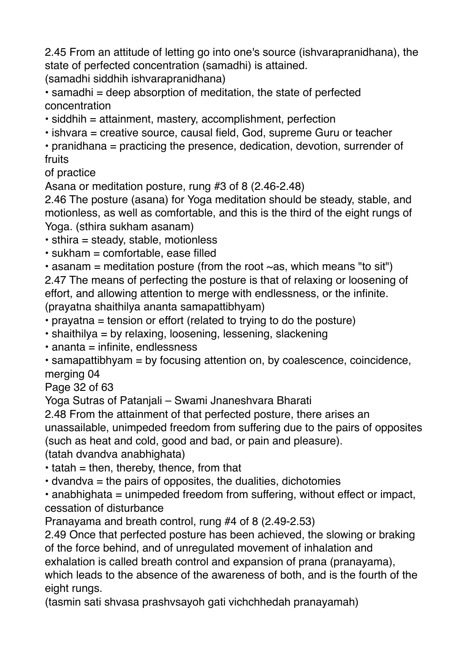2.45 From an attitude of letting go into one's source (ishvarapranidhana), the state of perfected concentration (samadhi) is attained.

(samadhi siddhih ishvarapranidhana)

 $\cdot$  samadhi = deep absorption of meditation, the state of perfected concentration

• siddhih = attainment, mastery, accomplishment, perfection

• ishvara = creative source, causal field, God, supreme Guru or teacher

• pranidhana = practicing the presence, dedication, devotion, surrender of fruits

of practice

Asana or meditation posture, rung #3 of 8 (2.46-2.48)

2.46 The posture (asana) for Yoga meditation should be steady, stable, and motionless, as well as comfortable, and this is the third of the eight rungs of Yoga. (sthira sukham asanam)

 $\cdot$  sthira = steady, stable, motionless

 $\cdot$  sukham = comfortable, ease filled

• asanam = meditation posture (from the root  $\sim$  as, which means "to sit") 2.47 The means of perfecting the posture is that of relaxing or loosening of effort, and allowing attention to merge with endlessness, or the infinite. (prayatna shaithilya ananta samapattibhyam)

- prayatna = tension or effort (related to trying to do the posture)
- shaithilya = by relaxing, loosening, lessening, slackening

• ananta = infinite, endlessness

• samapattibhyam = by focusing attention on, by coalescence, coincidence, merging 04

Page 32 of 63

Yoga Sutras of Patanjali – Swami Jnaneshvara Bharati

2.48 From the attainment of that perfected posture, there arises an unassailable, unimpeded freedom from suffering due to the pairs of opposites (such as heat and cold, good and bad, or pain and pleasure).

(tatah dvandva anabhighata)

 $\cdot$  tatah = then, thereby, thence, from that

 $\cdot$  dvandva = the pairs of opposites, the dualities, dichotomies

 $\cdot$  anabhighata = unimpeded freedom from suffering, without effect or impact, cessation of disturbance

Pranayama and breath control, rung #4 of 8 (2.49-2.53)

2.49 Once that perfected posture has been achieved, the slowing or braking of the force behind, and of unregulated movement of inhalation and

exhalation is called breath control and expansion of prana (pranayama),

which leads to the absence of the awareness of both, and is the fourth of the eight rungs.

(tasmin sati shvasa prashvsayoh gati vichchhedah pranayamah)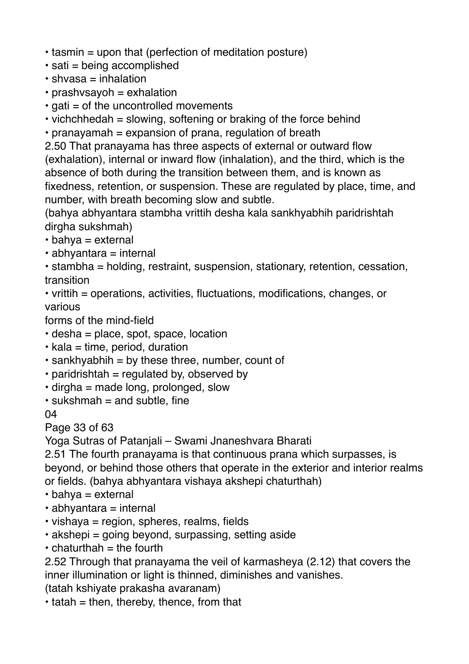- tasmin = upon that (perfection of meditation posture)
- sati = being accomplished
- shvasa = inhalation
- $\cdot$  prashvsayoh = exhalation
- $\cdot$  gati = of the uncontrolled movements
- vichchhedah = slowing, softening or braking of the force behind
- pranayamah = expansion of prana, regulation of breath

2.50 That pranayama has three aspects of external or outward flow (exhalation), internal or inward flow (inhalation), and the third, which is the absence of both during the transition between them, and is known as fixedness, retention, or suspension. These are regulated by place, time, and number, with breath becoming slow and subtle.

(bahya abhyantara stambha vrittih desha kala sankhyabhih paridrishtah dirgha sukshmah)

 $\cdot$  bahya = external

 $\cdot$  abhyantara = internal

• stambha = holding, restraint, suspension, stationary, retention, cessation, transition

• vrittih = operations, activities, fluctuations, modifications, changes, or various

forms of the mind-field

- desha = place, spot, space, location
- $\cdot$  kala = time, period, duration
- $\cdot$  sankhyabhih = by these three, number, count of
- paridrishtah = regulated by, observed by
- $\cdot$  dirgha = made long, prolonged, slow
- $\cdot$  sukshmah = and subtle, fine

04

Page 33 of 63

Yoga Sutras of Patanjali – Swami Jnaneshvara Bharati

2.51 The fourth pranayama is that continuous prana which surpasses, is beyond, or behind those others that operate in the exterior and interior realms or fields. (bahya abhyantara vishaya akshepi chaturthah)

- $\cdot$  bahya = external
- $\cdot$  abhyantara = internal
- vishaya = region, spheres, realms, fields
- akshepi = going beyond, surpassing, setting aside
- $\cdot$  chaturthah = the fourth

2.52 Through that pranayama the veil of karmasheya (2.12) that covers the inner illumination or light is thinned, diminishes and vanishes.

(tatah kshiyate prakasha avaranam)

 $\cdot$  tatah = then, thereby, thence, from that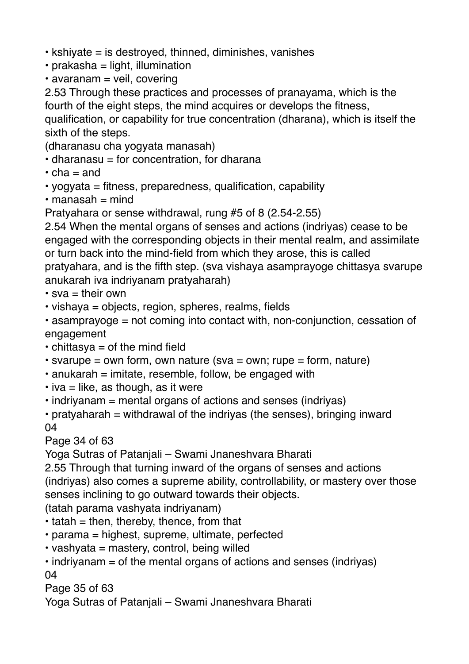- kshiyate = is destroyed, thinned, diminishes, vanishes
- $\cdot$  prakasha = light, illumination
- avaranam = veil, covering

2.53 Through these practices and processes of pranayama, which is the fourth of the eight steps, the mind acquires or develops the fitness, qualification, or capability for true concentration (dharana), which is itself the sixth of the steps.

(dharanasu cha yogyata manasah)

- $\cdot$  dharanasu = for concentration, for dharana
- $\cdot$  cha = and
- yogyata = fitness, preparedness, qualification, capability
- $\cdot$  manasah = mind

Pratyahara or sense withdrawal, rung #5 of 8 (2.54-2.55)

2.54 When the mental organs of senses and actions (indriyas) cease to be engaged with the corresponding objects in their mental realm, and assimilate or turn back into the mind-field from which they arose, this is called pratyahara, and is the fifth step. (sva vishaya asamprayoge chittasya svarupe anukarah iva indriyanam pratyaharah)

 $\cdot$  sva = their own

- vishaya = objects, region, spheres, realms, fields
- asamprayoge = not coming into contact with, non-conjunction, cessation of engagement
- $\cdot$  chittasya = of the mind field
- $\cdot$  svarupe = own form, own nature (sva = own; rupe = form, nature)
- $\cdot$  anukarah = imitate, resemble, follow, be engaged with
- $\cdot$  iva = like, as though, as it were
- indriyanam = mental organs of actions and senses (indriyas)
- $\cdot$  pratyaharah = withdrawal of the indriyas (the senses), bringing inward 04

## Page 34 of 63

Yoga Sutras of Patanjali – Swami Jnaneshvara Bharati

2.55 Through that turning inward of the organs of senses and actions (indriyas) also comes a supreme ability, controllability, or mastery over those senses inclining to go outward towards their objects.

(tatah parama vashyata indriyanam)

- $\cdot$  tatah = then, thereby, thence, from that
- parama = highest, supreme, ultimate, perfected
- vashyata = mastery, control, being willed
- $\cdot$  indriyanam = of the mental organs of actions and senses (indriyas) 04

Page 35 of 63

Yoga Sutras of Patanjali – Swami Jnaneshvara Bharati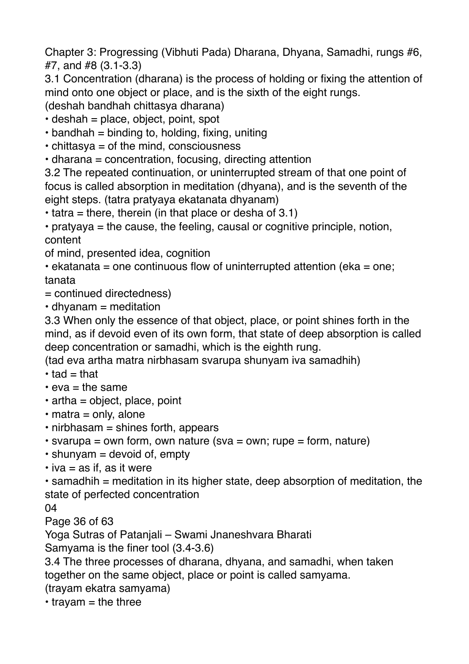Chapter 3: Progressing (Vibhuti Pada) Dharana, Dhyana, Samadhi, rungs #6, #7, and #8 (3.1-3.3)

3.1 Concentration (dharana) is the process of holding or fixing the attention of mind onto one object or place, and is the sixth of the eight rungs.

(deshah bandhah chittasya dharana)

 $\cdot$  deshah = place, object, point, spot

 $\cdot$  bandhah = binding to, holding, fixing, uniting

• chittasya = of the mind, consciousness

• dharana = concentration, focusing, directing attention

3.2 The repeated continuation, or uninterrupted stream of that one point of focus is called absorption in meditation (dhyana), and is the seventh of the eight steps. (tatra pratyaya ekatanata dhyanam)

 $\cdot$  tatra = there, therein (in that place or desha of 3.1)

• pratyaya = the cause, the feeling, causal or cognitive principle, notion, content

of mind, presented idea, cognition

 $\cdot$  ekatanata = one continuous flow of uninterrupted attention (eka = one; tanata

= continued directedness)

 $\cdot$  dhyanam = meditation

3.3 When only the essence of that object, place, or point shines forth in the mind, as if devoid even of its own form, that state of deep absorption is called deep concentration or samadhi, which is the eighth rung.

(tad eva artha matra nirbhasam svarupa shunyam iva samadhih)

- $\cdot$  tad = that
- $\cdot$  eva = the same
- $\cdot$  artha = object, place, point
- $\cdot$  matra = only, alone
- $\cdot$  nirbhasam = shines forth, appears

 $\cdot$  svarupa = own form, own nature (sva = own; rupe = form, nature)

- $\cdot$  shunyam = devoid of, empty
- $\cdot$  iva = as if, as it were

 $\cdot$  samadhih = meditation in its higher state, deep absorption of meditation, the state of perfected concentration

04

Page 36 of 63

Yoga Sutras of Patanjali – Swami Jnaneshvara Bharati

Samyama is the finer tool (3.4-3.6)

3.4 The three processes of dharana, dhyana, and samadhi, when taken together on the same object, place or point is called samyama.

(trayam ekatra samyama)

 $\cdot$  travam = the three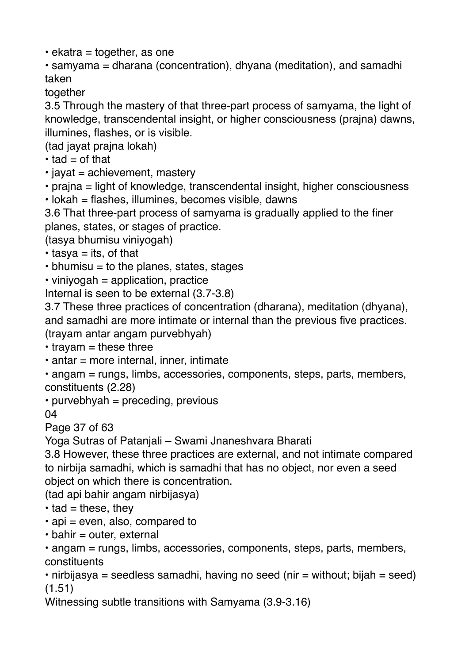$\cdot$  ekatra = together, as one

• samyama = dharana (concentration), dhyana (meditation), and samadhi taken

together

3.5 Through the mastery of that three-part process of samyama, the light of knowledge, transcendental insight, or higher consciousness (prajna) dawns, illumines, flashes, or is visible.

(tad jayat prajna lokah)

 $\cdot$  tad = of that

 $\cdot$  jayat = achievement, mastery

• praina = light of knowledge, transcendental insight, higher consciousness

• lokah = flashes, illumines, becomes visible, dawns

3.6 That three-part process of samyama is gradually applied to the finer planes, states, or stages of practice.

(tasya bhumisu viniyogah)

 $\cdot$  tasya = its, of that

 $\cdot$  bhumisu = to the planes, states, stages

 $\cdot$  vinivogah = application, practice

Internal is seen to be external (3.7-3.8)

3.7 These three practices of concentration (dharana), meditation (dhyana), and samadhi are more intimate or internal than the previous five practices. (trayam antar angam purvebhyah)

 $\cdot$  trayam = these three

 $\cdot$  antar = more internal, inner, intimate

• angam = rungs, limbs, accessories, components, steps, parts, members, constituents (2.28)

• purvebhyah = preceding, previous

04

Page 37 of 63

Yoga Sutras of Patanjali – Swami Jnaneshvara Bharati

3.8 However, these three practices are external, and not intimate compared to nirbija samadhi, which is samadhi that has no object, nor even a seed object on which there is concentration.

(tad api bahir angam nirbijasya)

 $\cdot$  tad = these, they

- $\cdot$  api = even, also, compared to
- $\cdot$  bahir = outer, external

• angam = rungs, limbs, accessories, components, steps, parts, members, constituents

• nirbijasya = seedless samadhi, having no seed (nir = without; bijah = seed) (1.51)

Witnessing subtle transitions with Samyama (3.9-3.16)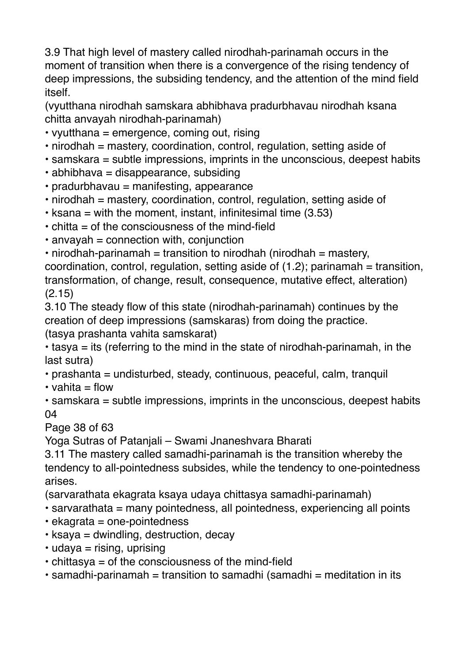3.9 That high level of mastery called nirodhah-parinamah occurs in the moment of transition when there is a convergence of the rising tendency of deep impressions, the subsiding tendency, and the attention of the mind field itself.

(vyutthana nirodhah samskara abhibhava pradurbhavau nirodhah ksana chitta anvayah nirodhah-parinamah)

- vyutthana = emergence, coming out, rising
- nirodhah = mastery, coordination, control, regulation, setting aside of
- samskara = subtle impressions, imprints in the unconscious, deepest habits
- abhibhava = disappearance, subsiding
- pradurbhavau = manifesting, appearance
- nirodhah = mastery, coordination, control, regulation, setting aside of
- $\cdot$  ksana = with the moment, instant, infinitesimal time (3.53)
- $\cdot$  chitta = of the consciousness of the mind-field
- $\cdot$  anvayah = connection with, conjunction
- nirodhah-parinamah = transition to nirodhah (nirodhah = mastery, coordination, control, regulation, setting aside of  $(1.2)$ ; parinamah = transition, transformation, of change, result, consequence, mutative effect, alteration) (2.15)

3.10 The steady flow of this state (nirodhah-parinamah) continues by the creation of deep impressions (samskaras) from doing the practice. (tasya prashanta vahita samskarat)

 $\cdot$  tasya = its (referring to the mind in the state of nirodhah-parinamah, in the last sutra)

- prashanta = undisturbed, steady, continuous, peaceful, calm, tranquil
- vahita  $=$  flow
- samskara = subtle impressions, imprints in the unconscious, deepest habits 04

Page 38 of 63

Yoga Sutras of Patanjali – Swami Jnaneshvara Bharati

3.11 The mastery called samadhi-parinamah is the transition whereby the tendency to all-pointedness subsides, while the tendency to one-pointedness arises.

(sarvarathata ekagrata ksaya udaya chittasya samadhi-parinamah)

- sarvarathata = many pointedness, all pointedness, experiencing all points
- ekagrata = one-pointedness
- $\cdot$  ksaya = dwindling, destruction, decay
- $\cdot$  udaya = rising, uprising
- chittasya = of the consciousness of the mind-field
- $\cdot$  samadhi-parinamah = transition to samadhi (samadhi = meditation in its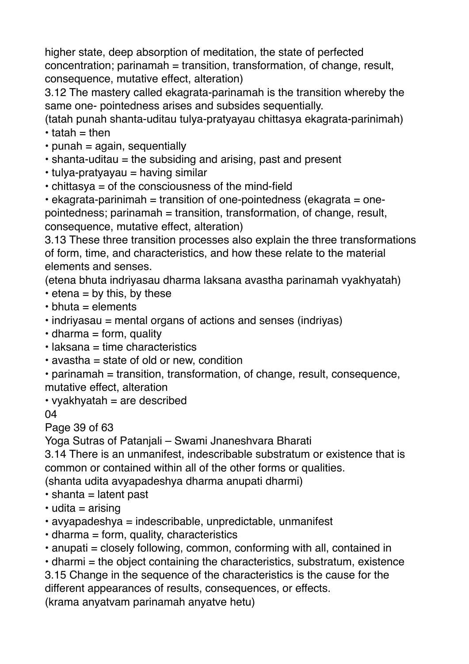higher state, deep absorption of meditation, the state of perfected concentration; parinamah = transition, transformation, of change, result, consequence, mutative effect, alteration)

3.12 The mastery called ekagrata-parinamah is the transition whereby the same one- pointedness arises and subsides sequentially.

(tatah punah shanta-uditau tulya-pratyayau chittasya ekagrata-parinimah)  $\cdot$  tatah = then

- $\cdot$  punah = again, sequentially
- shanta-uditau = the subsiding and arising, past and present
- tulya-pratyayau = having similar
- chittasya = of the consciousness of the mind-field

• ekagrata-parinimah = transition of one-pointedness (ekagrata = onepointedness; parinamah = transition, transformation, of change, result, consequence, mutative effect, alteration)

3.13 These three transition processes also explain the three transformations of form, time, and characteristics, and how these relate to the material elements and senses.

(etena bhuta indriyasau dharma laksana avastha parinamah vyakhyatah)

- $\cdot$  etena = by this, by these
- $\cdot$  bhuta = elements
- indriyasau = mental organs of actions and senses (indriyas)
- $\cdot$  dharma = form, quality
- laksana = time characteristics
- avastha = state of old or new, condition
- parinamah = transition, transformation, of change, result, consequence, mutative effect, alteration
- vyakhyatah = are described

04

Page 39 of 63

Yoga Sutras of Patanjali – Swami Jnaneshvara Bharati

3.14 There is an unmanifest, indescribable substratum or existence that is common or contained within all of the other forms or qualities.

(shanta udita avyapadeshya dharma anupati dharmi)

- $\cdot$  shanta = latent past
- $\cdot$  udita = arising
- avyapadeshya = indescribable, unpredictable, unmanifest
- $\cdot$  dharma = form, quality, characteristics
- anupati = closely following, common, conforming with all, contained in

 $\cdot$  dharmi = the object containing the characteristics, substratum, existence 3.15 Change in the sequence of the characteristics is the cause for the

different appearances of results, consequences, or effects.

(krama anyatvam parinamah anyatve hetu)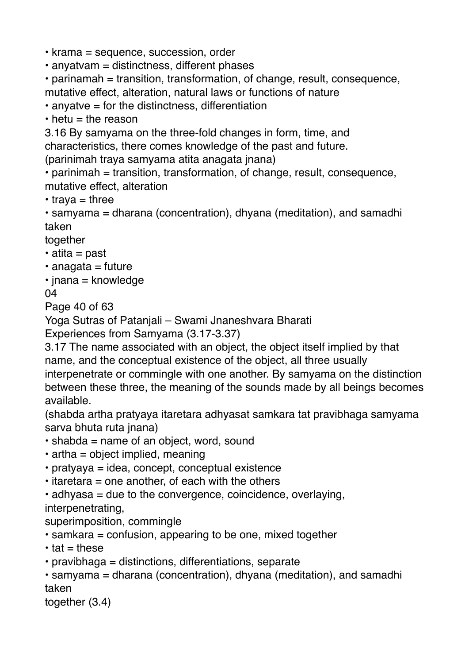• krama = sequence, succession, order

• anyatvam = distinctness, different phases

• parinamah = transition, transformation, of change, result, consequence, mutative effect, alteration, natural laws or functions of nature

 $\cdot$  anyatve = for the distinctness, differentiation

 $\cdot$  hetu = the reason

3.16 By samyama on the three-fold changes in form, time, and characteristics, there comes knowledge of the past and future.

(parinimah traya samyama atita anagata jnana)

• parinimah = transition, transformation, of change, result, consequence, mutative effect, alteration

 $\cdot$  trava = three

• samyama = dharana (concentration), dhyana (meditation), and samadhi taken

together

- atita = past
- $\cdot$  anagata = future
- $\cdot$  jnana = knowledge

04

Page 40 of 63

Yoga Sutras of Patanjali – Swami Jnaneshvara Bharati

Experiences from Samyama (3.17-3.37)

3.17 The name associated with an object, the object itself implied by that name, and the conceptual existence of the object, all three usually interpenetrate or commingle with one another. By samyama on the distinction between these three, the meaning of the sounds made by all beings becomes available.

(shabda artha pratyaya itaretara adhyasat samkara tat pravibhaga samyama sarva bhuta ruta jnana)

- $\cdot$  shabda = name of an object, word, sound
- $\cdot$  artha = object implied, meaning
- pratyaya = idea, concept, conceptual existence
- $\cdot$  itaretara = one another, of each with the others
- $\cdot$  adhyasa = due to the convergence, coincidence, overlaying,

interpenetrating,

superimposition, commingle

- samkara = confusion, appearing to be one, mixed together
- $\cdot$  tat = these
- pravibhaga = distinctions, differentiations, separate

• samyama = dharana (concentration), dhyana (meditation), and samadhi taken

together (3.4)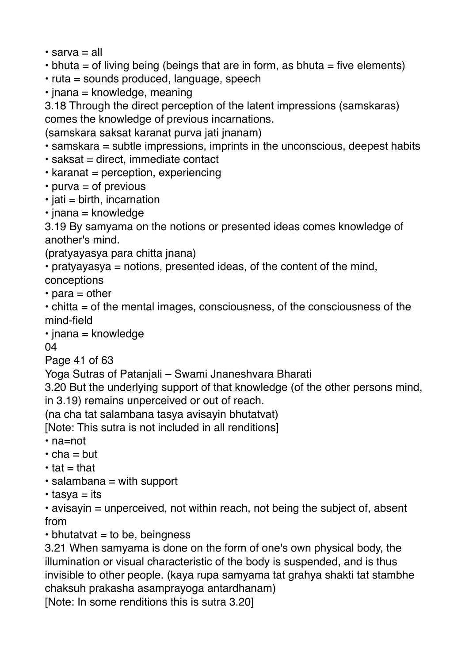- sarva = all
- $\cdot$  bhuta = of living being (beings that are in form, as bhuta = five elements)
- ruta = sounds produced, language, speech
- $\cdot$  jnana = knowledge, meaning

3.18 Through the direct perception of the latent impressions (samskaras) comes the knowledge of previous incarnations.

(samskara saksat karanat purva jati jnanam)

- samskara = subtle impressions, imprints in the unconscious, deepest habits
- $\cdot$  saksat = direct, immediate contact
- karanat = perception, experiencing
- purva = of previous
- $\cdot$  jati = birth, incarnation
- $\cdot$  jnana = knowledge

3.19 By samyama on the notions or presented ideas comes knowledge of another's mind.

(pratyayasya para chitta jnana)

• pratyayasya = notions, presented ideas, of the content of the mind,

- conceptions
- $\cdot$  para = other

• chitta = of the mental images, consciousness, of the consciousness of the mind-field

 $\cdot$  jnana = knowledge

04

Page 41 of 63

Yoga Sutras of Patanjali – Swami Jnaneshvara Bharati

3.20 But the underlying support of that knowledge (of the other persons mind, in 3.19) remains unperceived or out of reach.

(na cha tat salambana tasya avisayin bhutatvat)

[Note: This sutra is not included in all renditions]

- na=not
- $\cdot$  cha = but
- $\cdot$  tat = that
- $\cdot$  salambana = with support
- $\cdot$  tasya = its

• avisayin = unperceived, not within reach, not being the subject of, absent from

 $\cdot$  bhutatvat = to be, beingness

3.21 When samyama is done on the form of one's own physical body, the illumination or visual characteristic of the body is suspended, and is thus invisible to other people. (kaya rupa samyama tat grahya shakti tat stambhe chaksuh prakasha asamprayoga antardhanam)

[Note: In some renditions this is sutra 3.20]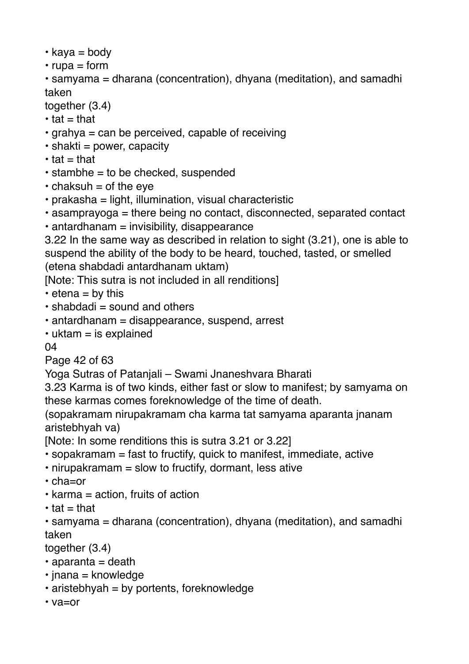- $\cdot$  kaya = body
- $•$  rupa = form
- samyama = dharana (concentration), dhyana (meditation), and samadhi taken

together (3.4)

- $\cdot$  tat = that
- grahya = can be perceived, capable of receiving
- $\cdot$  shakti = power, capacity
- $\cdot$  tat = that
- $\cdot$  stambhe = to be checked, suspended
- $\cdot$  chaksuh = of the eve
- prakasha = light, illumination, visual characteristic
- asamprayoga = there being no contact, disconnected, separated contact
- $\cdot$  antardhanam = invisibility, disappearance

3.22 In the same way as described in relation to sight (3.21), one is able to suspend the ability of the body to be heard, touched, tasted, or smelled (etena shabdadi antardhanam uktam)

[Note: This sutra is not included in all renditions]

- $\cdot$  etena = by this
- $\cdot$  shabdadi = sound and others
- antardhanam = disappearance, suspend, arrest
- $\cdot$  uktam = is explained

04

Page 42 of 63

Yoga Sutras of Patanjali – Swami Jnaneshvara Bharati

3.23 Karma is of two kinds, either fast or slow to manifest; by samyama on these karmas comes foreknowledge of the time of death.

(sopakramam nirupakramam cha karma tat samyama aparanta jnanam aristebhyah va)

[Note: In some renditions this is sutra 3.21 or 3.22]

- $\cdot$  sopakramam = fast to fructify, quick to manifest, immediate, active
- nirupakramam = slow to fructify, dormant, less ative
- cha=or
- $\cdot$  karma = action, fruits of action
- $\cdot$  tat = that

• samyama = dharana (concentration), dhyana (meditation), and samadhi taken

together (3.4)

- $\cdot$  aparanta = death
- $\cdot$  jnana = knowledge
- $\cdot$  aristebhyah = by portents, foreknowledge
- va=or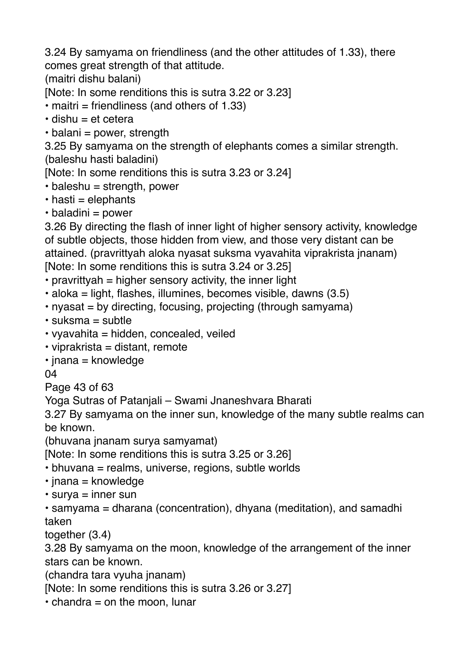3.24 By samyama on friendliness (and the other attitudes of 1.33), there comes great strength of that attitude.

(maitri dishu balani)

[Note: In some renditions this is sutra 3.22 or 3.23]

• maitri = friendliness (and others of 1.33)

- $\cdot$  dishu = et cetera
- $\cdot$  balani = power, strength

3.25 By samyama on the strength of elephants comes a similar strength. (baleshu hasti baladini)

[Note: In some renditions this is sutra 3.23 or 3.24]

- $\cdot$  baleshu = strength, power
- $\cdot$  hasti = elephants

 $\cdot$  baladini = power

3.26 By directing the flash of inner light of higher sensory activity, knowledge of subtle objects, those hidden from view, and those very distant can be attained. (pravrittyah aloka nyasat suksma vyavahita viprakrista jnanam) [Note: In some renditions this is sutra 3.24 or 3.25]

 $\cdot$  pravrittyah = higher sensory activity, the inner light

 $\cdot$  aloka = light, flashes, illumines, becomes visible, dawns (3.5)

- $\cdot$  nyasat = by directing, focusing, projecting (through samyama)
- $\cdot$  suksma = subtle
- $\cdot$  vyavahita = hidden, concealed, veiled
- $\cdot$  viprakrista = distant, remote
- $\cdot$  jnana = knowledge

04

Page 43 of 63

Yoga Sutras of Patanjali – Swami Jnaneshvara Bharati

3.27 By samyama on the inner sun, knowledge of the many subtle realms can be known.

(bhuvana jnanam surya samyamat)

[Note: In some renditions this is sutra 3.25 or 3.26]

- bhuvana = realms, universe, regions, subtle worlds
- $\cdot$  jnana = knowledge
- $\cdot$  surya = inner sun

• samyama = dharana (concentration), dhyana (meditation), and samadhi taken

together (3.4)

3.28 By samyama on the moon, knowledge of the arrangement of the inner stars can be known.

(chandra tara vyuha jnanam)

[Note: In some renditions this is sutra 3.26 or 3.27]

 $\cdot$  chandra = on the moon, lunar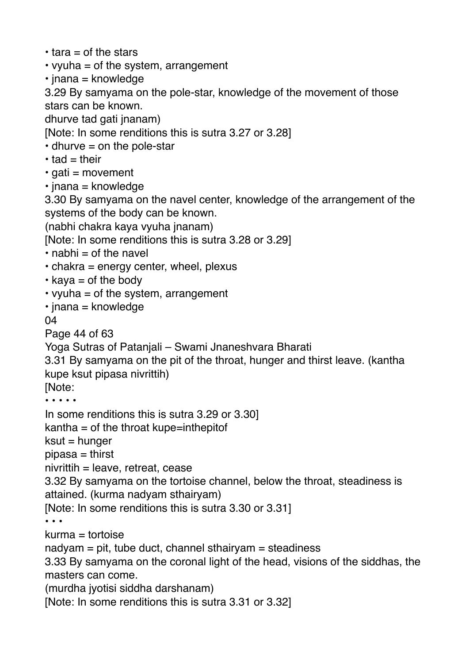- $\cdot$  tara = of the stars
- vyuha  $=$  of the system, arrangement
- $\cdot$  jnana = knowledge

3.29 By samyama on the pole-star, knowledge of the movement of those stars can be known.

dhurve tad gati jnanam)

[Note: In some renditions this is sutra 3.27 or 3.28]

- $\cdot$  dhurve = on the pole-star
- $\cdot$  tad = their
- $\cdot$  gati = movement
- $\cdot$  inana = knowledge

3.30 By samyama on the navel center, knowledge of the arrangement of the systems of the body can be known.

(nabhi chakra kaya vyuha jnanam)

[Note: In some renditions this is sutra 3.28 or 3.29]

- $\cdot$  nabhi = of the navel
- $\cdot$  chakra = energy center, wheel, plexus
- $\cdot$  kaya = of the body
- vyuha  $=$  of the system, arrangement
- $\cdot$  jnana = knowledge

04

Page 44 of 63

Yoga Sutras of Patanjali – Swami Jnaneshvara Bharati

3.31 By samyama on the pit of the throat, hunger and thirst leave. (kantha kupe ksut pipasa nivrittih)

[Note:

• • • • •

In some renditions this is sutra 3.29 or 3.30]

 $kantha = of the throat kupe=inthepitof$ 

 $k$ sut = hunger

pipasa = thirst

 $niv$ rittih = leave, retreat, cease

3.32 By samyama on the tortoise channel, below the throat, steadiness is attained. (kurma nadyam sthairyam)

[Note: In some renditions this is sutra 3.30 or 3.31]

• • •

kurma = tortoise

 $n = pi$ , tube duct, channel sthairyam = steadiness

3.33 By samyama on the coronal light of the head, visions of the siddhas, the masters can come.

(murdha jyotisi siddha darshanam)

[Note: In some renditions this is sutra 3.31 or 3.32]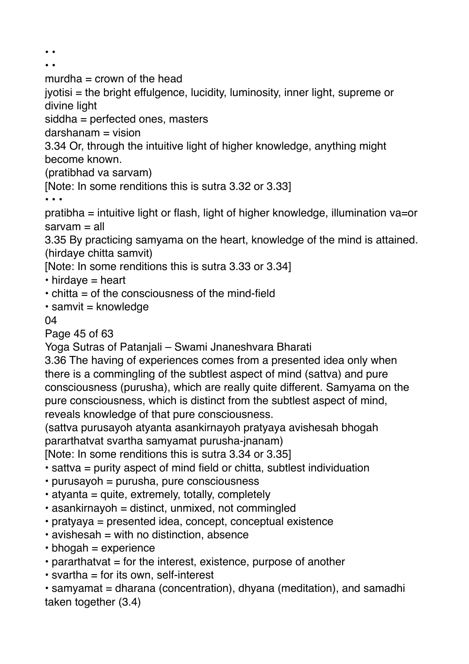• •

• •

murdha  $=$  crown of the head

jyotisi = the bright effulgence, lucidity, luminosity, inner light, supreme or divine light

siddha = perfected ones, masters

 $darsham = vision$ 

3.34 Or, through the intuitive light of higher knowledge, anything might become known.

(pratibhad va sarvam)

[Note: In some renditions this is sutra 3.32 or 3.33]

• • •

pratibha = intuitive light or flash, light of higher knowledge, illumination va=or  $s$ arvam  $=$  all

3.35 By practicing samyama on the heart, knowledge of the mind is attained. (hirdaye chitta samvit)

[Note: In some renditions this is sutra 3.33 or 3.34]

- $\cdot$  hirdaye = heart
- $\cdot$  chitta = of the consciousness of the mind-field
- $\cdot$  samvit = knowledge

## 04

Page 45 of 63

Yoga Sutras of Patanjali – Swami Jnaneshvara Bharati

3.36 The having of experiences comes from a presented idea only when there is a commingling of the subtlest aspect of mind (sattva) and pure consciousness (purusha), which are really quite different. Samyama on the pure consciousness, which is distinct from the subtlest aspect of mind, reveals knowledge of that pure consciousness.

(sattva purusayoh atyanta asankirnayoh pratyaya avishesah bhogah pararthatvat svartha samyamat purusha-jnanam)

[Note: In some renditions this is sutra 3.34 or 3.35]

- sattva = purity aspect of mind field or chitta, subtlest individuation
- purusayoh = purusha, pure consciousness
- $\cdot$  atyanta = quite, extremely, totally, completely
- $\cdot$  asankirnayoh = distinct, unmixed, not commingled
- pratyaya = presented idea, concept, conceptual existence
- $\cdot$  avishesah = with no distinction, absence
- $\cdot$  bhogah = experience
- $\cdot$  pararthatvat = for the interest, existence, purpose of another
- svartha = for its own, self-interest

• samyamat = dharana (concentration), dhyana (meditation), and samadhi taken together (3.4)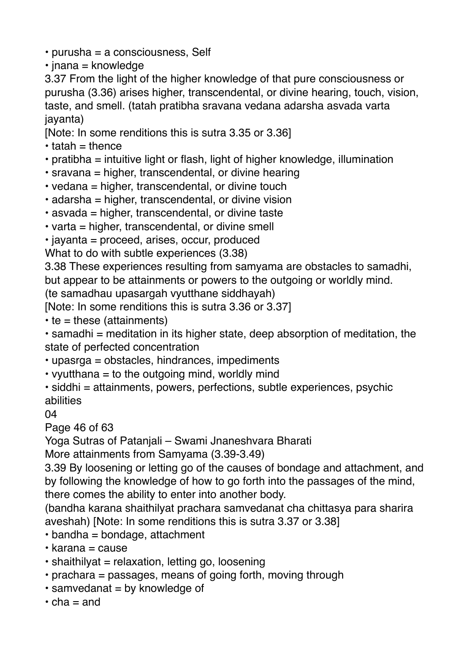- purusha = a consciousness, Self
- $\cdot$  jnana = knowledge

3.37 From the light of the higher knowledge of that pure consciousness or purusha (3.36) arises higher, transcendental, or divine hearing, touch, vision, taste, and smell. (tatah pratibha sravana vedana adarsha asvada varta jayanta)

[Note: In some renditions this is sutra 3.35 or 3.36]

- $\cdot$  tatah = thence
- pratibha = intuitive light or flash, light of higher knowledge, illumination
- sravana = higher, transcendental, or divine hearing
- vedana = higher, transcendental, or divine touch
- $\cdot$  adarsha = higher, transcendental, or divine vision
- asvada = higher, transcendental, or divine taste
- varta = higher, transcendental, or divine smell
- jayanta = proceed, arises, occur, produced

What to do with subtle experiences (3.38)

3.38 These experiences resulting from samyama are obstacles to samadhi, but appear to be attainments or powers to the outgoing or worldly mind.

(te samadhau upasargah vyutthane siddhayah)

[Note: In some renditions this is sutra 3.36 or 3.37]

 $\cdot$  te = these (attainments)

 $\cdot$  samadhi = meditation in its higher state, deep absorption of meditation, the state of perfected concentration

- upasrga = obstacles, hindrances, impediments
- vyutthana  $=$  to the outgoing mind, worldly mind
- siddhi = attainments, powers, perfections, subtle experiences, psychic abilities
- 04

Page 46 of 63

Yoga Sutras of Patanjali – Swami Jnaneshvara Bharati

More attainments from Samyama (3.39-3.49)

3.39 By loosening or letting go of the causes of bondage and attachment, and by following the knowledge of how to go forth into the passages of the mind, there comes the ability to enter into another body.

(bandha karana shaithilyat prachara samvedanat cha chittasya para sharira aveshah) [Note: In some renditions this is sutra 3.37 or 3.38]

- $\cdot$  bandha = bondage, attachment
- karana = cause
- shaithilyat = relaxation, letting go, loosening
- prachara = passages, means of going forth, moving through
- $\cdot$  samvedanat = by knowledge of
- $\cdot$  cha = and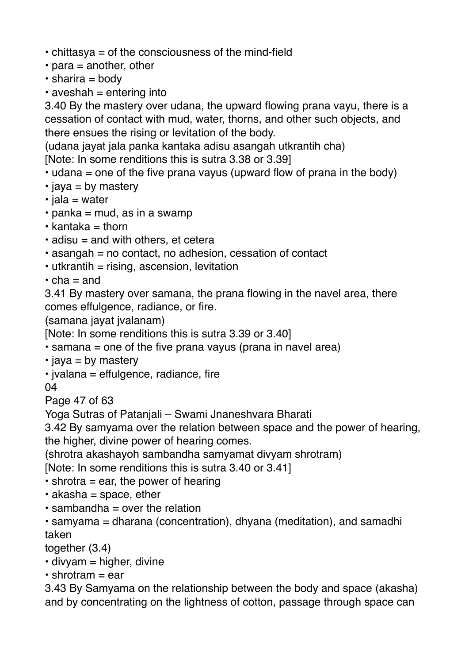- chittasya = of the consciousness of the mind-field
- $\cdot$  para = another, other
- $\cdot$  sharira = body
- $\cdot$  aveshah = entering into

3.40 By the mastery over udana, the upward flowing prana vayu, there is a cessation of contact with mud, water, thorns, and other such objects, and there ensues the rising or levitation of the body.

(udana jayat jala panka kantaka adisu asangah utkrantih cha)

[Note: In some renditions this is sutra 3.38 or 3.39]

- $\cdot$  udana = one of the five prana vayus (upward flow of prana in the body)
- $\cdot$  jaya = by mastery
- $\cdot$  jala = water
- $\cdot$  panka = mud, as in a swamp
- $\cdot$  kantaka = thorn
- $\cdot$  adisu = and with others, et cetera
- asangah = no contact, no adhesion, cessation of contact
- $\cdot$  utkrantih = rising, ascension, levitation
- $\cdot$  cha = and

3.41 By mastery over samana, the prana flowing in the navel area, there comes effulgence, radiance, or fire.

(samana jayat jvalanam)

[Note: In some renditions this is sutra 3.39 or 3.40]

• samana = one of the five prana vayus (prana in navel area)

- $\cdot$  jaya = by mastery
- jvalana = effulgence, radiance, fire

04

Page 47 of 63

Yoga Sutras of Patanjali – Swami Jnaneshvara Bharati

3.42 By samyama over the relation between space and the power of hearing, the higher, divine power of hearing comes.

(shrotra akashayoh sambandha samyamat divyam shrotram)

[Note: In some renditions this is sutra 3.40 or 3.41]

 $\cdot$  shrotra = ear, the power of hearing

- $\cdot$  akasha = space, ether
- $\cdot$  sambandha = over the relation
- samyama = dharana (concentration), dhyana (meditation), and samadhi taken

together (3.4)

- $\cdot$  divyam = higher, divine
- $\cdot$  shrotram = ear

3.43 By Samyama on the relationship between the body and space (akasha) and by concentrating on the lightness of cotton, passage through space can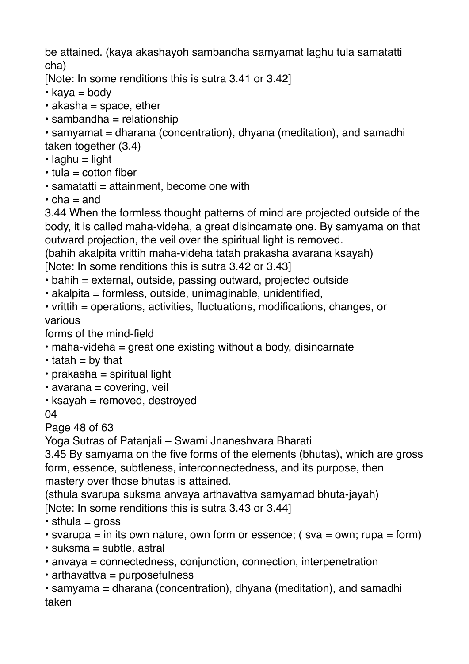be attained. (kaya akashayoh sambandha samyamat laghu tula samatatti cha)

[Note: In some renditions this is sutra 3.41 or 3.42]

- $\cdot$  kava = body
- $\cdot$  akasha = space, ether
- $\cdot$  sambandha = relationship

• samyamat = dharana (concentration), dhyana (meditation), and samadhi taken together (3.4)

- $\cdot$  laghu = light
- $\cdot$  tula = cotton fiber
- $\cdot$  samatatti = attainment, become one with
- $\cdot$  cha = and

3.44 When the formless thought patterns of mind are projected outside of the body, it is called maha-videha, a great disincarnate one. By samyama on that outward projection, the veil over the spiritual light is removed.

(bahih akalpita vrittih maha-videha tatah prakasha avarana ksayah)

[Note: In some renditions this is sutra 3.42 or 3.43]

• bahih = external, outside, passing outward, projected outside

- akalpita = formless, outside, unimaginable, unidentified,
- vrittih = operations, activities, fluctuations, modifications, changes, or various

forms of the mind-field

- maha-videha = great one existing without a body, disincarnate
- $\cdot$  tatah = by that
- $\cdot$  prakasha = spiritual light
- $\cdot$  avarana = covering, veil
- $\cdot$  ksayah = removed, destroved

04

Page 48 of 63

Yoga Sutras of Patanjali – Swami Jnaneshvara Bharati

3.45 By samyama on the five forms of the elements (bhutas), which are gross form, essence, subtleness, interconnectedness, and its purpose, then mastery over those bhutas is attained.

(sthula svarupa suksma anvaya arthavattva samyamad bhuta-jayah)

[Note: In some renditions this is sutra 3.43 or 3.44]

- $\cdot$  sthula = gross
- svarupa = in its own nature, own form or essence; (sva = own; rupa = form)
- $\cdot$  suksma = subtle, astral
- anvaya = connectedness, conjunction, connection, interpenetration
- arthavattva = purposefulness

• samyama = dharana (concentration), dhyana (meditation), and samadhi taken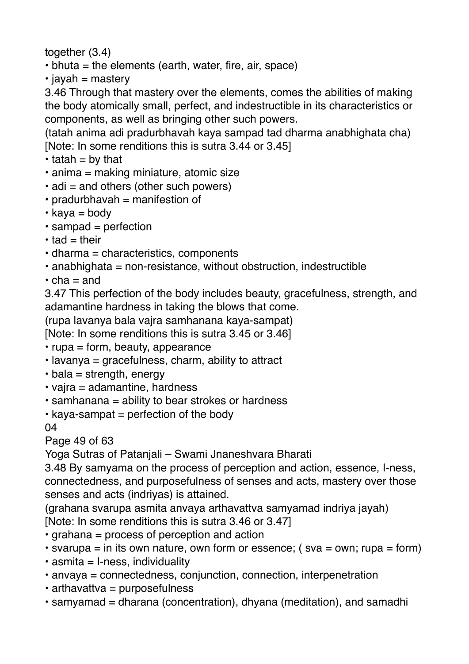together (3.4)

- $\cdot$  bhuta = the elements (earth, water, fire, air, space)
- $\cdot$  jayah = mastery

3.46 Through that mastery over the elements, comes the abilities of making the body atomically small, perfect, and indestructible in its characteristics or components, as well as bringing other such powers.

(tatah anima adi pradurbhavah kaya sampad tad dharma anabhighata cha) [Note: In some renditions this is sutra 3.44 or 3.45]

- $\cdot$  tatah = by that
- anima = making miniature, atomic size
- adi = and others (other such powers)
- $\cdot$  pradurbhavah = manifestion of
- $\cdot$  kaya = body
- sampad = perfection
- $\cdot$  tad = their
- dharma = characteristics, components
- $\cdot$  anabhighata = non-resistance, without obstruction, indestructible
- $\cdot$  cha = and

3.47 This perfection of the body includes beauty, gracefulness, strength, and adamantine hardness in taking the blows that come.

(rupa lavanya bala vajra samhanana kaya-sampat)

[Note: In some renditions this is sutra 3.45 or 3.46]

- $\cdot$  rupa = form, beauty, appearance
- lavanya = gracefulness, charm, ability to attract
- $\cdot$  bala = strength, energy
- vajra = adamantine, hardness
- samhanana = ability to bear strokes or hardness
- $\cdot$  kaya-sampat = perfection of the body

04

Page 49 of 63

Yoga Sutras of Patanjali – Swami Jnaneshvara Bharati

3.48 By samyama on the process of perception and action, essence, I-ness, connectedness, and purposefulness of senses and acts, mastery over those senses and acts (indriyas) is attained.

(grahana svarupa asmita anvaya arthavattva samyamad indriya jayah) [Note: In some renditions this is sutra 3.46 or 3.47]

- grahana = process of perception and action
- svarupa = in its own nature, own form or essence; (sva = own; rupa = form)
- $\cdot$  asmita = I-ness, individuality
- anvaya = connectedness, conjunction, connection, interpenetration
- arthavattva = purposefulness
- samyamad = dharana (concentration), dhyana (meditation), and samadhi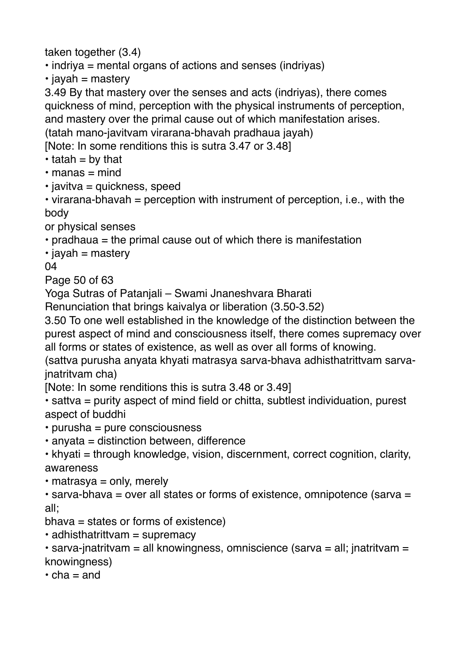taken together (3.4)

• indriya = mental organs of actions and senses (indriyas)

 $\cdot$  jayah = mastery

3.49 By that mastery over the senses and acts (indriyas), there comes quickness of mind, perception with the physical instruments of perception, and mastery over the primal cause out of which manifestation arises. (tatah mano-javitvam virarana-bhavah pradhaua jayah)

[Note: In some renditions this is sutra 3.47 or 3.48]

- $\cdot$  tatah = by that
- $\cdot$  manas = mind
- $\cdot$  javitva = quickness, speed

• virarana-bhavah = perception with instrument of perception, i.e., with the body

or physical senses

• pradhaua = the primal cause out of which there is manifestation

 $\cdot$  jayah = mastery

04

Page 50 of 63

Yoga Sutras of Patanjali – Swami Jnaneshvara Bharati

Renunciation that brings kaivalya or liberation (3.50-3.52)

3.50 To one well established in the knowledge of the distinction between the purest aspect of mind and consciousness itself, there comes supremacy over all forms or states of existence, as well as over all forms of knowing.

(sattva purusha anyata khyati matrasya sarva-bhava adhisthatrittvam sarvajnatritvam cha)

[Note: In some renditions this is sutra 3.48 or 3.49]

• sattva = purity aspect of mind field or chitta, subtlest individuation, purest aspect of buddhi

- purusha = pure consciousness
- $\cdot$  anyata = distinction between, difference

• khyati = through knowledge, vision, discernment, correct cognition, clarity, awareness

 $\cdot$  matrasya = only, merely

• sarva-bhava = over all states or forms of existence, omnipotence (sarva = all;

- $b$ hava = states or forms of existence)
- $\cdot$  adhisthatrittvam = supremacy

• sarva-jnatritvam = all knowingness, omniscience (sarva = all; jnatritvam = knowingness)

 $\cdot$  cha = and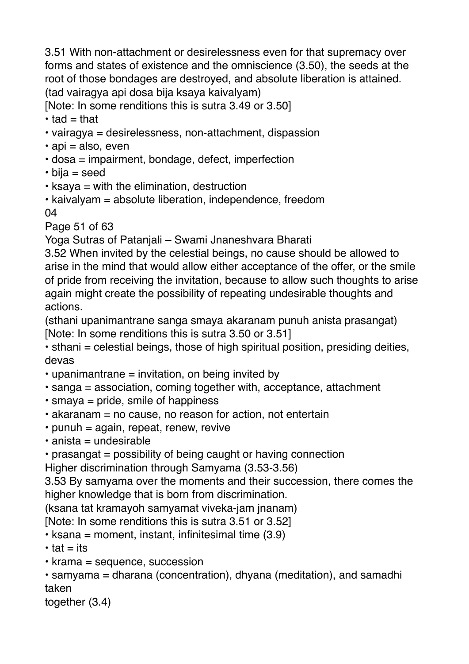3.51 With non-attachment or desirelessness even for that supremacy over forms and states of existence and the omniscience (3.50), the seeds at the root of those bondages are destroyed, and absolute liberation is attained. (tad vairagya api dosa bija ksaya kaivalyam)

[Note: In some renditions this is sutra 3.49 or 3.50]

 $\cdot$  tad = that

- vairagya = desirelessness, non-attachment, dispassion
- $\cdot$  api = also, even
- dosa = impairment, bondage, defect, imperfection
- bija = seed
- ksaya = with the elimination, destruction

• kaivalyam = absolute liberation, independence, freedom 04

Page 51 of 63

Yoga Sutras of Patanjali – Swami Jnaneshvara Bharati

3.52 When invited by the celestial beings, no cause should be allowed to arise in the mind that would allow either acceptance of the offer, or the smile of pride from receiving the invitation, because to allow such thoughts to arise again might create the possibility of repeating undesirable thoughts and actions.

(sthani upanimantrane sanga smaya akaranam punuh anista prasangat) [Note: In some renditions this is sutra 3.50 or 3.51]

• sthani = celestial beings, those of high spiritual position, presiding deities, devas

- upanimantrane = invitation, on being invited by
- sanga = association, coming together with, acceptance, attachment
- smaya = pride, smile of happiness
- akaranam = no cause, no reason for action, not entertain
- $\cdot$  punuh = again, repeat, renew, revive
- $\cdot$  anista = undesirable
- prasangat = possibility of being caught or having connection

Higher discrimination through Samyama (3.53-3.56)

3.53 By samyama over the moments and their succession, there comes the higher knowledge that is born from discrimination.

(ksana tat kramayoh samyamat viveka-jam jnanam)

[Note: In some renditions this is sutra 3.51 or 3.52]

- $\cdot$  ksana = moment, instant, infinitesimal time (3.9)
- $\cdot$  tat = its
- krama = sequence, succession

• samyama = dharana (concentration), dhyana (meditation), and samadhi taken

together (3.4)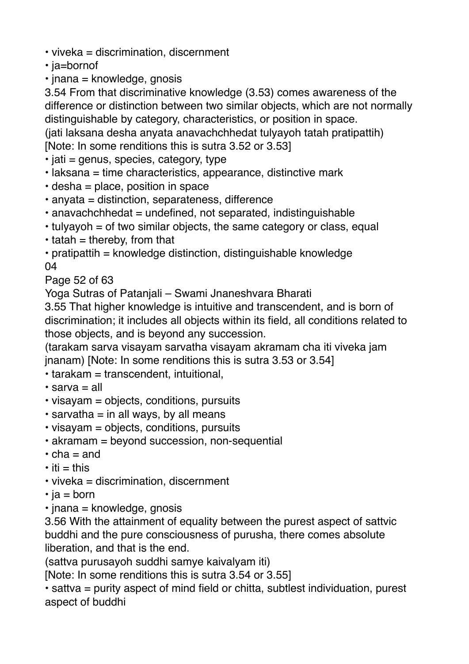- viveka = discrimination, discernment
- ja=bornof
- $\cdot$  jnana = knowledge, gnosis

3.54 From that discriminative knowledge (3.53) comes awareness of the difference or distinction between two similar objects, which are not normally distinguishable by category, characteristics, or position in space. (jati laksana desha anyata anavachchhedat tulyayoh tatah pratipattih)

[Note: In some renditions this is sutra 3.52 or 3.53]

- $\cdot$  jati = genus, species, category, type
- laksana = time characteristics, appearance, distinctive mark
- desha = place, position in space
- anyata = distinction, separateness, difference
- anavachchhedat = undefined, not separated, indistinguishable
- $\cdot$  tulyayoh = of two similar objects, the same category or class, equal
- $\cdot$  tatah = thereby, from that
- $\cdot$  pratipattih = knowledge distinction, distinguishable knowledge 04

Page 52 of 63

Yoga Sutras of Patanjali – Swami Jnaneshvara Bharati

3.55 That higher knowledge is intuitive and transcendent, and is born of discrimination; it includes all objects within its field, all conditions related to those objects, and is beyond any succession.

(tarakam sarva visayam sarvatha visayam akramam cha iti viveka jam jnanam) [Note: In some renditions this is sutra 3.53 or 3.54]

- tarakam = transcendent, intuitional,
- sarva = all
- visayam = objects, conditions, pursuits
- $\cdot$  sarvatha = in all ways, by all means
- visayam = objects, conditions, pursuits
- akramam = beyond succession, non-sequential
- $\cdot$  cha = and
- $\cdot$  iti = this
- viveka = discrimination, discernment
- $\cdot$  ja = born
- $\cdot$  jnana = knowledge, gnosis

3.56 With the attainment of equality between the purest aspect of sattvic buddhi and the pure consciousness of purusha, there comes absolute liberation, and that is the end.

(sattva purusayoh suddhi samye kaivalyam iti)

[Note: In some renditions this is sutra 3.54 or 3.55]

• sattva = purity aspect of mind field or chitta, subtlest individuation, purest aspect of buddhi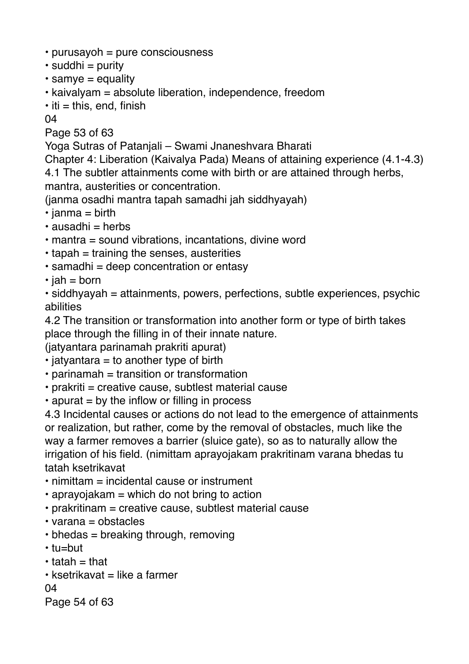- purusayoh = pure consciousness
- $\cdot$  suddhi = purity
- $\cdot$  samye = equality
- kaivalyam = absolute liberation, independence, freedom
- $\cdot$  iti = this, end, finish

04

Page 53 of 63

Yoga Sutras of Patanjali – Swami Jnaneshvara Bharati

Chapter 4: Liberation (Kaivalya Pada) Means of attaining experience (4.1-4.3) 4.1 The subtler attainments come with birth or are attained through herbs, mantra, austerities or concentration.

(janma osadhi mantra tapah samadhi jah siddhyayah)

- $\cdot$  janma = birth
- $\cdot$  ausadhi = herbs
- mantra = sound vibrations, incantations, divine word
- $\cdot$  tapah = training the senses, austerities
- samadhi = deep concentration or entasy
- $\cdot$  jah = born

• siddhyayah = attainments, powers, perfections, subtle experiences, psychic abilities

4.2 The transition or transformation into another form or type of birth takes place through the filling in of their innate nature.

(jatyantara parinamah prakriti apurat)

- $\cdot$  jatyantara = to another type of birth
- $\cdot$  parinamah = transition or transformation
- $\cdot$  prakriti = creative cause, subtlest material cause
- $\cdot$  apurat = by the inflow or filling in process

4.3 Incidental causes or actions do not lead to the emergence of attainments or realization, but rather, come by the removal of obstacles, much like the way a farmer removes a barrier (sluice gate), so as to naturally allow the irrigation of his field. (nimittam aprayojakam prakritinam varana bhedas tu tatah ksetrikavat

- nimittam = incidental cause or instrument
- $\cdot$  aprayojakam = which do not bring to action
- prakritinam = creative cause, subtlest material cause
- $\cdot$  varana = obstacles
- bhedas = breaking through, removing
- tu=but
- $\cdot$  tatah  $=$  that
- $\cdot$  ksetrikavat = like a farmer

04

```
Page 54 of 63
```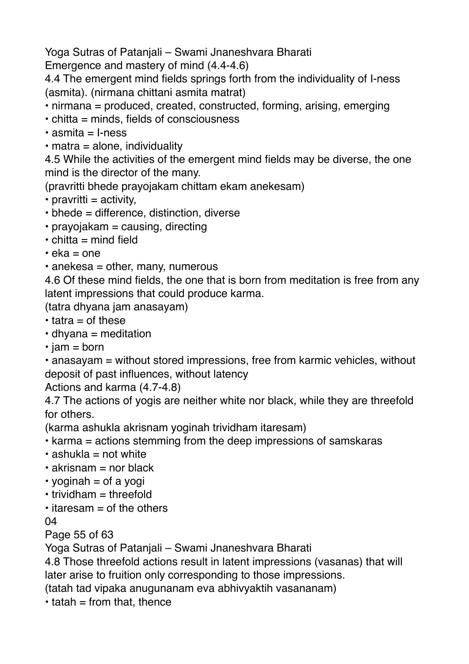Yoga Sutras of Patanjali – Swami Jnaneshvara Bharati

Emergence and mastery of mind (4.4-4.6)

4.4 The emergent mind fields springs forth from the individuality of I-ness (asmita). (nirmana chittani asmita matrat)

• nirmana = produced, created, constructed, forming, arising, emerging

- $\cdot$  chitta = minds, fields of consciousness
- $\cdot$  asmita = I-ness
- $\cdot$  matra = alone, individuality

4.5 While the activities of the emergent mind fields may be diverse, the one mind is the director of the many.

(pravritti bhede prayojakam chittam ekam anekesam)

- $\cdot$  pravritti = activity,
- bhede = difference, distinction, diverse
- $\cdot$  prayojakam = causing, directing
- $\cdot$  chitta = mind field
- $\cdot$  eka = one
- $\cdot$  anekesa = other, many, numerous

4.6 Of these mind fields, the one that is born from meditation is free from any latent impressions that could produce karma.

(tatra dhyana jam anasayam)

- $\cdot$  tatra = of these
- $\cdot$  dhyana = meditation
- $\cdot$  jam = born

• anasayam = without stored impressions, free from karmic vehicles, without deposit of past influences, without latency

Actions and karma (4.7-4.8)

4.7 The actions of yogis are neither white nor black, while they are threefold for others.

(karma ashukla akrisnam yoginah trividham itaresam)

- karma = actions stemming from the deep impressions of samskaras
- $\cdot$  ashukla = not white
- $\cdot$  akrisnam = nor black
- $\cdot$  yoginah = of a yogi
- $\cdot$  trividham = threefold
- $\cdot$  itaresam = of the others

04

Page 55 of 63

Yoga Sutras of Patanjali – Swami Jnaneshvara Bharati

4.8 Those threefold actions result in latent impressions (vasanas) that will later arise to fruition only corresponding to those impressions.

(tatah tad vipaka anugunanam eva abhivyaktih vasananam)

 $\cdot$  tatah = from that, thence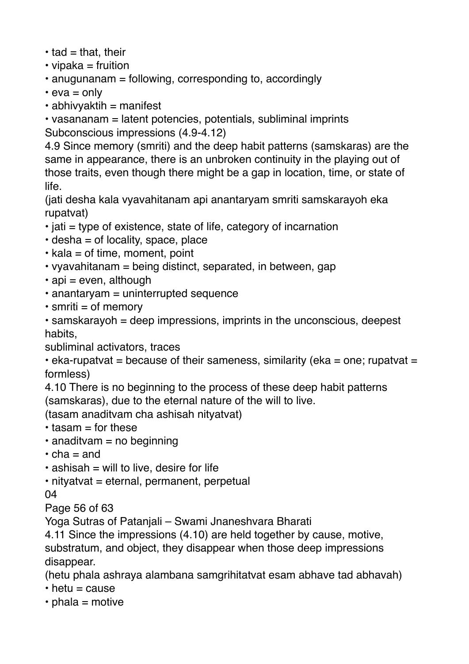- $\cdot$  tad = that, their
- $\cdot$  vipaka = fruition
- anugunanam = following, corresponding to, accordingly
- $\cdot$  eva = only
- $\cdot$  abhivvaktih = manifest

• vasananam = latent potencies, potentials, subliminal imprints Subconscious impressions (4.9-4.12)

4.9 Since memory (smriti) and the deep habit patterns (samskaras) are the same in appearance, there is an unbroken continuity in the playing out of those traits, even though there might be a gap in location, time, or state of life.

(jati desha kala vyavahitanam api anantaryam smriti samskarayoh eka rupatvat)

- $\cdot$  jati = type of existence, state of life, category of incarnation
- $\cdot$  desha = of locality, space, place
- $\cdot$  kala = of time, moment, point
- vyavahitanam = being distinct, separated, in between, gap
- $\cdot$  api = even, although
- anantaryam = uninterrupted sequence
- $\cdot$  smriti = of memory

• samskarayoh = deep impressions, imprints in the unconscious, deepest habits,

subliminal activators, traces

 $\cdot$  eka-rupatvat = because of their sameness, similarity (eka = one; rupatvat = formless)

4.10 There is no beginning to the process of these deep habit patterns (samskaras), due to the eternal nature of the will to live.

(tasam anaditvam cha ashisah nityatvat)

- $\cdot$  tasam  $=$  for these
- $\cdot$  anaditvam = no beginning
- $\cdot$  cha = and
- $\cdot$  ashisah = will to live, desire for life
- nityatvat = eternal, permanent, perpetual

04

Page 56 of 63

Yoga Sutras of Patanjali – Swami Jnaneshvara Bharati

4.11 Since the impressions (4.10) are held together by cause, motive, substratum, and object, they disappear when those deep impressions disappear.

(hetu phala ashraya alambana samgrihitatvat esam abhave tad abhavah)

- $\cdot$  hetu = cause
- $\cdot$  phala = motive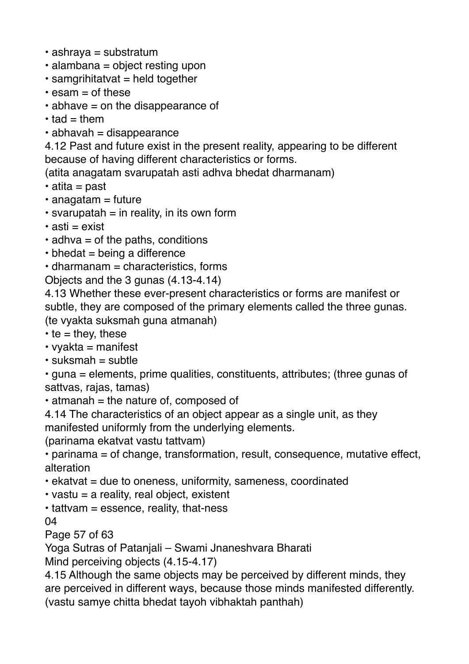- ashraya = substratum
- alambana = object resting upon
- $\cdot$  samgrihitatvat = held together
- $\cdot$  esam = of these
- $\cdot$  abhave = on the disappearance of
- $\cdot$  tad = them
- abhavah = disappearance

4.12 Past and future exist in the present reality, appearing to be different because of having different characteristics or forms.

(atita anagatam svarupatah asti adhva bhedat dharmanam)

- $\cdot$  atita = past
- $\cdot$  anagatam = future
- $\cdot$  svarupatah = in reality, in its own form
- $\cdot$  asti = exist
- $\cdot$  adhva = of the paths, conditions
- $\cdot$  bhedat = being a difference
- $\cdot$  dharmanam = characteristics, forms
- Objects and the 3 gunas (4.13-4.14)

4.13 Whether these ever-present characteristics or forms are manifest or subtle, they are composed of the primary elements called the three gunas. (te vyakta suksmah guna atmanah)

 $\cdot$  te = they, these

 $\cdot$  vvakta = manifest

 $\cdot$  suksmah = subtle

• guna = elements, prime qualities, constituents, attributes; (three gunas of sattvas, rajas, tamas)

- $\cdot$  atmanah = the nature of, composed of
- 4.14 The characteristics of an object appear as a single unit, as they manifested uniformly from the underlying elements.

(parinama ekatvat vastu tattvam)

• parinama = of change, transformation, result, consequence, mutative effect, alteration

- $\cdot$  ekatvat = due to oneness, uniformity, sameness, coordinated
- $\cdot$  vastu = a reality, real object, existent
- $\cdot$  tattvam = essence, reality, that-ness

04

Page 57 of 63

Yoga Sutras of Patanjali – Swami Jnaneshvara Bharati

Mind perceiving objects (4.15-4.17)

4.15 Although the same objects may be perceived by different minds, they are perceived in different ways, because those minds manifested differently. (vastu samye chitta bhedat tayoh vibhaktah panthah)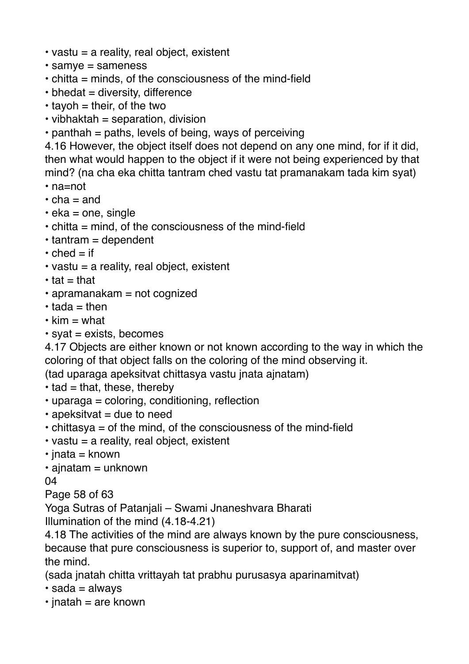- vastu = a reality, real object, existent
- samye = sameness
- chitta = minds, of the consciousness of the mind-field
- $\cdot$  bhedat = diversity, difference
- $\cdot$  tayoh = their, of the two
- $\cdot$  vibhaktah = separation, division
- $\cdot$  panthah = paths, levels of being, ways of perceiving

4.16 However, the object itself does not depend on any one mind, for if it did, then what would happen to the object if it were not being experienced by that mind? (na cha eka chitta tantram ched vastu tat pramanakam tada kim syat)

- na=not
- $\cdot$  cha = and
- $\cdot$  eka = one, single
- chitta = mind, of the consciousness of the mind-field
- $\cdot$  tantram = dependent
- $\cdot$  ched = if
- $\cdot$  vastu = a reality, real object, existent
- $\cdot$  tat = that
- apramanakam = not cognized
- $\cdot$  tada = then
- $\cdot$  kim = what
- $•$  syat = exists, becomes

4.17 Objects are either known or not known according to the way in which the coloring of that object falls on the coloring of the mind observing it.

(tad uparaga apeksitvat chittasya vastu jnata ajnatam)

- $\cdot$  tad = that, these, thereby
- uparaga = coloring, conditioning, reflection
- $\cdot$  apeksitvat = due to need
- chittasya = of the mind, of the consciousness of the mind-field
- vastu = a reality, real object, existent
- $\cdot$  jnata = known
- $\cdot$  ajnatam = unknown

04

Page 58 of 63

Yoga Sutras of Patanjali – Swami Jnaneshvara Bharati

Illumination of the mind (4.18-4.21)

4.18 The activities of the mind are always known by the pure consciousness, because that pure consciousness is superior to, support of, and master over the mind.

(sada jnatah chitta vrittayah tat prabhu purusasya aparinamitvat)

- $\cdot$  sada = always
- $\cdot$  inatah = are known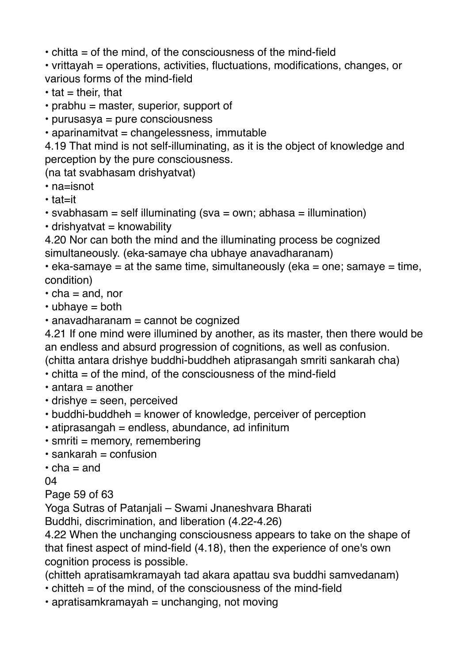• chitta = of the mind, of the consciousness of the mind-field

• vrittayah = operations, activities, fluctuations, modifications, changes, or various forms of the mind-field

 $\cdot$  tat = their, that

 $\cdot$  prabhu = master, superior, support of

• purusasya = pure consciousness

• aparinamitvat = changelessness, immutable

4.19 That mind is not self-illuminating, as it is the object of knowledge and perception by the pure consciousness.

(na tat svabhasam drishyatvat)

• na=isnot

• tat=it

 $\cdot$  svabhasam = self illuminating (sva = own; abhasa = illumination)

 $\cdot$  drishyatvat = knowability

4.20 Nor can both the mind and the illuminating process be cognized simultaneously. (eka-samaye cha ubhaye anavadharanam)

 $\cdot$  eka-samaye = at the same time, simultaneously (eka = one; samaye = time, condition)

 $\cdot$  cha = and, nor

 $\cdot$  ubhave = both

• anavadharanam = cannot be cognized

4.21 If one mind were illumined by another, as its master, then there would be an endless and absurd progression of cognitions, as well as confusion. (chitta antara drishye buddhi-buddheh atiprasangah smriti sankarah cha)

- $\cdot$  chitta = of the mind, of the consciousness of the mind-field
- $\cdot$  antara = another
- drishye = seen, perceived
- buddhi-buddheh = knower of knowledge, perceiver of perception
- $\cdot$  atiprasangah = endless, abundance, ad infinitum
- $\cdot$  smriti = memory, remembering
- $\cdot$  sankarah = confusion
- $\cdot$  cha = and

04

Page 59 of 63

Yoga Sutras of Patanjali – Swami Jnaneshvara Bharati

Buddhi, discrimination, and liberation (4.22-4.26)

4.22 When the unchanging consciousness appears to take on the shape of that finest aspect of mind-field (4.18), then the experience of one's own cognition process is possible.

(chitteh apratisamkramayah tad akara apattau sva buddhi samvedanam)

- chitteh = of the mind, of the consciousness of the mind-field
- $\cdot$  apratisamkramayah = unchanging, not moving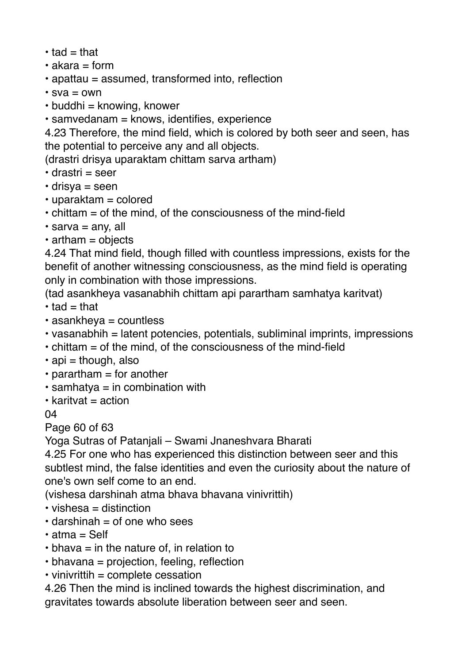- $\cdot$  tad = that
- $\cdot$  akara = form
- apattau = assumed, transformed into, reflection
- $sva = own$
- $\cdot$  buddhi = knowing, knower
- samvedanam = knows, identifies, experience

4.23 Therefore, the mind field, which is colored by both seer and seen, has the potential to perceive any and all objects.

(drastri drisya uparaktam chittam sarva artham)

- $\cdot$  drastri = seer
- $\cdot$  drisva = seen
- $\cdot$  uparaktam = colored
- $\cdot$  chittam = of the mind, of the consciousness of the mind-field
- $\cdot$  sarva = any, all
- $\cdot$  artham = objects

4.24 That mind field, though filled with countless impressions, exists for the benefit of another witnessing consciousness, as the mind field is operating only in combination with those impressions.

(tad asankheya vasanabhih chittam api parartham samhatya karitvat)

- $\cdot$  tad = that
- $\cdot$  asankheya = countless
- vasanabhih = latent potencies, potentials, subliminal imprints, impressions
- $\cdot$  chittam = of the mind, of the consciousness of the mind-field
- $\cdot$  api = though, also
- $\cdot$  parartham = for another
- $\cdot$  samhatya = in combination with
- $\cdot$  karitvat = action

04

Page 60 of 63

Yoga Sutras of Patanjali – Swami Jnaneshvara Bharati

4.25 For one who has experienced this distinction between seer and this subtlest mind, the false identities and even the curiosity about the nature of one's own self come to an end.

(vishesa darshinah atma bhava bhavana vinivrittih)

- $\cdot$  vishesa = distinction
- $\cdot$  darshinah = of one who sees
- atma = Self
- $\cdot$  bhava = in the nature of, in relation to
- bhavana = projection, feeling, reflection
- $\cdot$  vinivrittih = complete cessation

4.26 Then the mind is inclined towards the highest discrimination, and gravitates towards absolute liberation between seer and seen.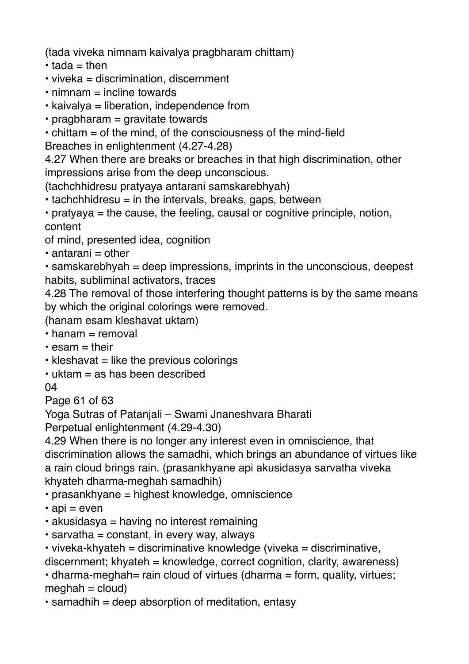(tada viveka nimnam kaivalya pragbharam chittam)

- $\cdot$  tada = then
- viveka = discrimination, discernment
- $\cdot$  nimnam  $=$  incline towards
- kaivalya = liberation, independence from
- $\cdot$  pragbharam = gravitate towards

• chittam = of the mind, of the consciousness of the mind-field Breaches in enlightenment (4.27-4.28)

4.27 When there are breaks or breaches in that high discrimination, other impressions arise from the deep unconscious.

(tachchhidresu pratyaya antarani samskarebhyah)

 $\cdot$  tachchhidresu = in the intervals, breaks, gaps, between

• pratyaya = the cause, the feeling, causal or cognitive principle, notion, content

of mind, presented idea, cognition

 $\cdot$  antarani = other

 $\cdot$  samskarebhyah = deep impressions, imprints in the unconscious, deepest habits, subliminal activators, traces

4.28 The removal of those interfering thought patterns is by the same means by which the original colorings were removed.

(hanam esam kleshavat uktam)

 $\cdot$  hanam = removal

- $\cdot$  esam = their
- $\cdot$  kleshavat = like the previous colorings
- $\cdot$  uktam  $=$  as has been described

 $04$ 

Page 61 of 63

Yoga Sutras of Patanjali – Swami Jnaneshvara Bharati

Perpetual enlightenment (4.29-4.30)

4.29 When there is no longer any interest even in omniscience, that discrimination allows the samadhi, which brings an abundance of virtues like a rain cloud brings rain. (prasankhyane api akusidasya sarvatha viveka khyateh dharma-meghah samadhih)

• prasankhyane = highest knowledge, omniscience

- $\cdot$  api = even
- $\cdot$  akusidasya = having no interest remaining
- $\cdot$  sarvatha = constant, in every way, always

```
• viveka-khyateh = discriminative knowledge (viveka = discriminative,
discernment; khyateh = knowledge, correct cognition, clarity, awareness)
```
• dharma-meghah= rain cloud of virtues (dharma = form, quality, virtues;  $meghah = cloud$ 

• samadhih = deep absorption of meditation, entasy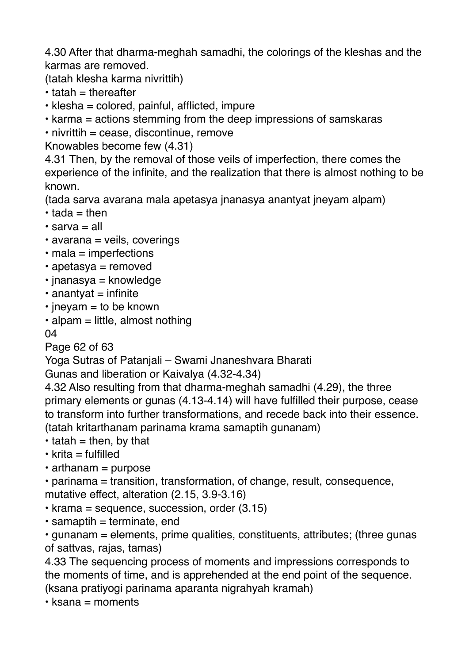4.30 After that dharma-meghah samadhi, the colorings of the kleshas and the karmas are removed.

(tatah klesha karma nivrittih)

- $\cdot$  tatah = thereafter
- klesha = colored, painful, afflicted, impure
- karma = actions stemming from the deep impressions of samskaras
- nivrittih = cease, discontinue, remove

Knowables become few (4.31)

4.31 Then, by the removal of those veils of imperfection, there comes the experience of the infinite, and the realization that there is almost nothing to be known.

(tada sarva avarana mala apetasya jnanasya anantyat jneyam alpam)

- $\cdot$  tada = then
- $\cdot$  sarva = all
- avarana = veils, coverings
- $\cdot$  mala = imperfections
- apetasya = removed
- $\cdot$  inanasya = knowledge
- $\cdot$  anantyat = infinite
- $\cdot$  inevam = to be known
- $\cdot$  alpam = little, almost nothing

04

Page 62 of 63

Yoga Sutras of Patanjali – Swami Jnaneshvara Bharati

Gunas and liberation or Kaivalya (4.32-4.34)

4.32 Also resulting from that dharma-meghah samadhi (4.29), the three primary elements or gunas (4.13-4.14) will have fulfilled their purpose, cease to transform into further transformations, and recede back into their essence. (tatah kritarthanam parinama krama samaptih gunanam)

 $\cdot$  tatah = then, by that

 $\cdot$  krita = fulfilled

• arthanam = purpose

• parinama = transition, transformation, of change, result, consequence, mutative effect, alteration (2.15, 3.9-3.16)

- $\cdot$  krama = sequence, succession, order (3.15)
- $\cdot$  samaptih = terminate, end

• gunanam = elements, prime qualities, constituents, attributes; (three gunas of sattvas, rajas, tamas)

4.33 The sequencing process of moments and impressions corresponds to the moments of time, and is apprehended at the end point of the sequence. (ksana pratiyogi parinama aparanta nigrahyah kramah)

 $\cdot$  ksana = moments